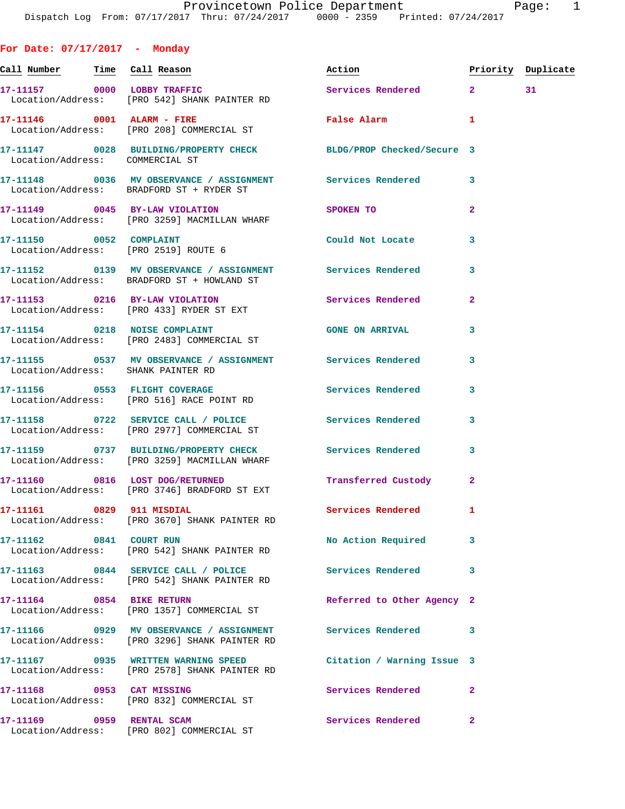**For Date: 07/17/2017 - Monday** Call Number **Time** Call Reason **Reason Burner** Action **Priority Duplicate 17-11157 0000 LOBBY TRAFFIC Services Rendered 2 31**  Location/Address: [PRO 542] SHANK PAINTER RD **17-11146 0001 ALARM - FIRE False Alarm 1**  Location/Address: [PRO 208] COMMERCIAL ST **17-11147 0028 BUILDING/PROPERTY CHECK BLDG/PROP Checked/Secure 3**  Location/Address: COMMERCIAL ST **17-11148 0036 MV OBSERVANCE / ASSIGNMENT Services Rendered 3**  Location/Address: BRADFORD ST + RYDER ST **17-11149 0045 BY-LAW VIOLATION SPOKEN TO 2**  Location/Address: [PRO 3259] MACMILLAN WHARF **17-11150 0052 COMPLAINT Could Not Locate 3**  Location/Address: [PRO 2519] ROUTE 6 **17-11152 0139 MV OBSERVANCE / ASSIGNMENT Services Rendered 3**  Location/Address: BRADFORD ST + HOWLAND ST **17-11153 0216 BY-LAW VIOLATION Services Rendered 2**  Location/Address: [PRO 433] RYDER ST EXT **17-11154 0218 NOISE COMPLAINT GONE ON ARRIVAL 3**  Location/Address: [PRO 2483] COMMERCIAL ST **17-11155 0537 MV OBSERVANCE / ASSIGNMENT Services Rendered 3**  Location/Address: SHANK PAINTER RD **17-11156 0553 FLIGHT COVERAGE Services Rendered 3**  Location/Address: [PRO 516] RACE POINT RD **17-11158 0722 SERVICE CALL / POLICE Services Rendered 3**  Location/Address: [PRO 2977] COMMERCIAL ST **17-11159 0737 BUILDING/PROPERTY CHECK Services Rendered 3**  Location/Address: [PRO 3259] MACMILLAN WHARF **17-11160 0816 LOST DOG/RETURNED Transferred Custody 2**  Location/Address: [PRO 3746] BRADFORD ST EXT **17-11161 0829 911 MISDIAL Services Rendered 1**  Location/Address: [PRO 3670] SHANK PAINTER RD **17-11162 0841 COURT RUN No Action Required 3**  Location/Address: [PRO 542] SHANK PAINTER RD **17-11163 0844 SERVICE CALL / POLICE Services Rendered 3**  Location/Address: [PRO 542] SHANK PAINTER RD **17-11164 0854 BIKE RETURN Referred to Other Agency 2**  Location/Address: [PRO 1357] COMMERCIAL ST **17-11166 0929 MV OBSERVANCE / ASSIGNMENT Services Rendered 3**  Location/Address: [PRO 3296] SHANK PAINTER RD **17-11167 0935 WRITTEN WARNING SPEED Citation / Warning Issue 3**  Location/Address: [PRO 2578] SHANK PAINTER RD

**17-11168 0953 CAT MISSING Services Rendered 2**  Location/Address: [PRO 832] COMMERCIAL ST

**17-11169 0959 RENTAL SCAM Services Rendered 2**  Location/Address: [PRO 802] COMMERCIAL ST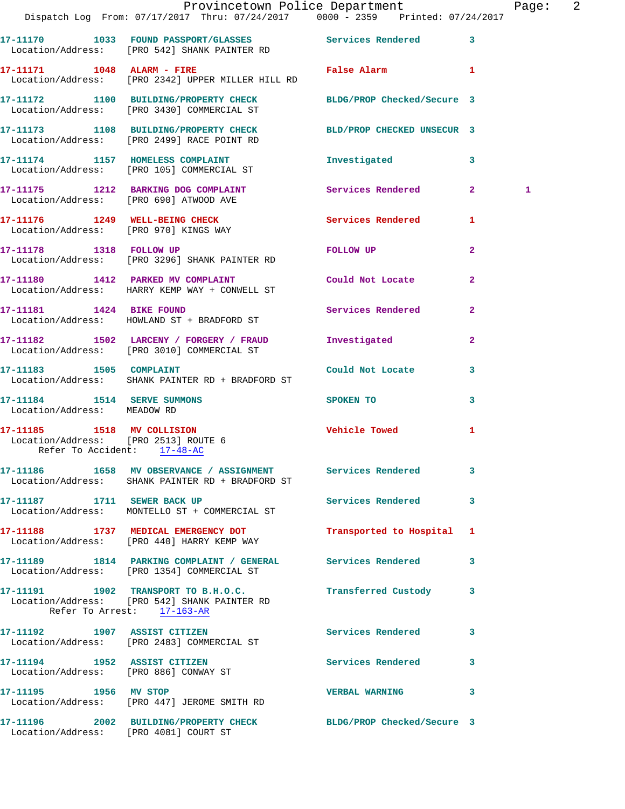|                                                                     | Provincetown Police Department<br>Dispatch Log From: 07/17/2017 Thru: 07/24/2017 0000 - 2359 Printed: 07/24/2017                        |                                                                                                                                                                                                                                |                | Page: 2 |  |
|---------------------------------------------------------------------|-----------------------------------------------------------------------------------------------------------------------------------------|--------------------------------------------------------------------------------------------------------------------------------------------------------------------------------------------------------------------------------|----------------|---------|--|
|                                                                     | 17-11170 1033 FOUND PASSPORT/GLASSES Services Rendered 3<br>Location/Address: [PRO 542] SHANK PAINTER RD                                |                                                                                                                                                                                                                                |                |         |  |
|                                                                     | 17-11171 1048 ALARM - FIRE<br>Location/Address: [PRO 2342] UPPER MILLER HILL RD                                                         | False Alarm 1                                                                                                                                                                                                                  |                |         |  |
|                                                                     | 17-11172 1100 BUILDING/PROPERTY CHECK BLDG/PROP Checked/Secure 3<br>Location/Address: [PRO 3430] COMMERCIAL ST                          |                                                                                                                                                                                                                                |                |         |  |
|                                                                     | 17-11173 1108 BUILDING/PROPERTY CHECK BLD/PROP CHECKED UNSECUR 3<br>Location/Address: [PRO 2499] RACE POINT RD                          |                                                                                                                                                                                                                                |                |         |  |
|                                                                     | 17-11174 1157 HOMELESS COMPLAINT 1nvestigated 3<br>Location/Address: [PRO 105] COMMERCIAL ST                                            |                                                                                                                                                                                                                                |                |         |  |
|                                                                     | 17-11175 1212 BARKING DOG COMPLAINT Services Rendered 2<br>Location/Address: [PRO 690] ATWOOD AVE                                       |                                                                                                                                                                                                                                |                | 1       |  |
|                                                                     | 17-11176 1249 WELL-BEING CHECK<br>Location/Address: [PRO 970] KINGS WAY                                                                 | Services Rendered 1                                                                                                                                                                                                            |                |         |  |
|                                                                     | 17-11178 1318 FOLLOW UP<br>Location/Address: [PRO 3296] SHANK PAINTER RD                                                                | FOLLOW UP THE TRANSPORTED TO A THE TRANSPORTED TO A THE TRANSPORTED TO A THE TRANSPORTED TO A THE TRANSPORTED TO A THE TRANSPORTED TO A THE TRANSPORTED TO A THE TRANSPORTED TO A THE TRANSPORTED TO A THE TRANSPORTED TO A TH | $\mathbf{2}$   |         |  |
|                                                                     | 17-11180 1412 PARKED MV COMPLAINT<br>Location/Address: HARRY KEMP WAY + CONWELL ST                                                      | Could Not Locate                                                                                                                                                                                                               | $\overline{2}$ |         |  |
|                                                                     | 17-11181 1424 BIKE FOUND<br>Location/Address: HOWLAND ST + BRADFORD ST                                                                  | Services Rendered                                                                                                                                                                                                              | $\mathbf{2}$   |         |  |
|                                                                     | 17-11182 1502 LARCENY / FORGERY / FRAUD Investigated<br>Location/Address: [PRO 3010] COMMERCIAL ST                                      |                                                                                                                                                                                                                                | $\mathbf{2}$   |         |  |
| 17-11183 1505 COMPLAINT                                             | Location/Address: SHANK PAINTER RD + BRADFORD ST                                                                                        | Could Not Locate                                                                                                                                                                                                               | 3              |         |  |
| Location/Address: MEADOW RD                                         | 17-11184    1514    SERVE SUMMONS                                                                                                       | SPOKEN TO 3                                                                                                                                                                                                                    |                |         |  |
| Location/Address: [PRO 2513] ROUTE 6<br>Refer To Accident: 17-48-AC | 17-11185 1518 MV COLLISION                                                                                                              | Vehicle Towed                                                                                                                                                                                                                  | 1              |         |  |
|                                                                     | 17-11186 1658 MV OBSERVANCE / ASSIGNMENT Services Rendered 3<br>Location/Address: SHANK PAINTER RD + BRADFORD ST                        |                                                                                                                                                                                                                                |                |         |  |
|                                                                     | 17-11187 1711 SEWER BACK UP<br>Location/Address: MONTELLO ST + COMMERCIAL ST                                                            | Services Rendered 3                                                                                                                                                                                                            |                |         |  |
|                                                                     | 17-11188 1737 MEDICAL EMERGENCY DOT<br>Location/Address: [PRO 440] HARRY KEMP WAY                                                       | Transported to Hospital 1                                                                                                                                                                                                      |                |         |  |
|                                                                     | 17-11189 1814 PARKING COMPLAINT / GENERAL Services Rendered 3<br>Location/Address: [PRO 1354] COMMERCIAL ST                             |                                                                                                                                                                                                                                |                |         |  |
|                                                                     | 17-11191 1902 TRANSPORT TO B.H.O.C. Transferred Custody 3<br>Location/Address: [PRO 542] SHANK PAINTER RD<br>Refer To Arrest: 17-163-AR |                                                                                                                                                                                                                                |                |         |  |
|                                                                     | 17-11192 1907 ASSIST CITIZEN<br>Location/Address: [PRO 2483] COMMERCIAL ST                                                              | Services Rendered                                                                                                                                                                                                              | 3              |         |  |
|                                                                     | 17-11194 1952 ASSIST CITIZEN<br>Location/Address: [PRO 886] CONWAY ST                                                                   | Services Rendered 3                                                                                                                                                                                                            |                |         |  |
|                                                                     | 17-11195 1956 MV STOP<br>Location/Address: [PRO 447] JEROME SMITH RD                                                                    | VERBAL WARNING 3                                                                                                                                                                                                               |                |         |  |
| Location/Address: [PRO 4081] COURT ST                               | 17-11196 2002 BUILDING/PROPERTY CHECK BLDG/PROP Checked/Secure 3                                                                        |                                                                                                                                                                                                                                |                |         |  |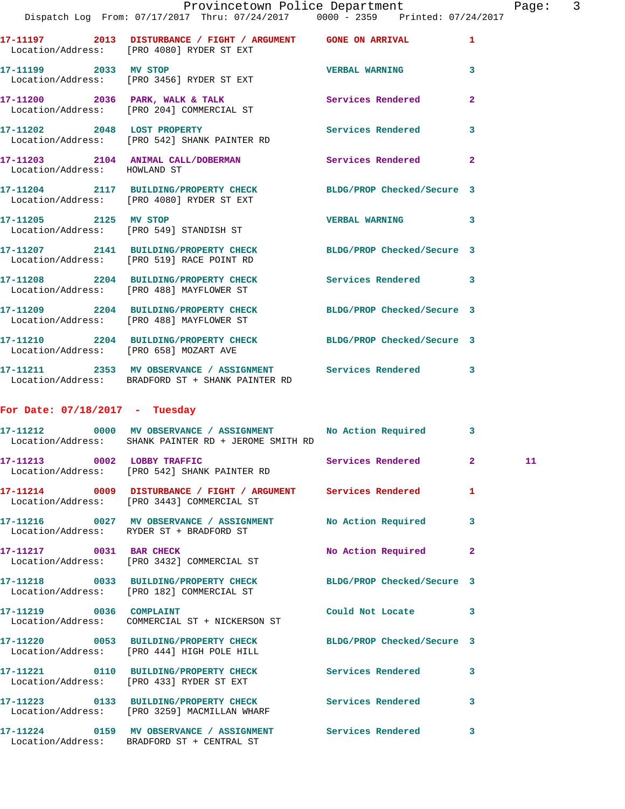|                                        | Provincetown Police Department<br>Dispatch Log From: 07/17/2017 Thru: 07/24/2017 0000 - 2359 Printed: 07/24/2017 |                       |                         |
|----------------------------------------|------------------------------------------------------------------------------------------------------------------|-----------------------|-------------------------|
|                                        | 17-11197 2013 DISTURBANCE / FIGHT / ARGUMENT GONE ON ARRIVAL<br>Location/Address: [PRO 4080] RYDER ST EXT        |                       | $\mathbf{1}$            |
|                                        | 17-11199 2033 MV STOP<br>Location/Address: [PRO 3456] RYDER ST EXT                                               | <b>VERBAL WARNING</b> | 3                       |
|                                        | 17-11200 2036 PARK, WALK & TALK Services Rendered<br>Location/Address: [PRO 204] COMMERCIAL ST                   |                       | $\overline{a}$          |
|                                        | 17-11202 2048 LOST PROPERTY Services Rendered<br>Location/Address: [PRO 542] SHANK PAINTER RD                    |                       | $\overline{\mathbf{3}}$ |
| Location/Address: HOWLAND ST           | 17-11203 2104 ANIMAL CALL/DOBERMAN Services Rendered                                                             |                       | $\overline{2}$          |
|                                        | 17-11204 2117 BUILDING/PROPERTY CHECK BLDG/PROP Checked/Secure 3<br>Location/Address: [PRO 4080] RYDER ST EXT    |                       |                         |
|                                        | 17-11205 2125 MV STOP<br>Location/Address: [PRO 549] STANDISH ST                                                 | <b>VERBAL WARNING</b> | 3                       |
|                                        | 17-11207 2141 BUILDING/PROPERTY CHECK BLDG/PROP Checked/Secure 3<br>Location/Address: [PRO 519] RACE POINT RD    |                       |                         |
|                                        | 17-11208 2204 BUILDING/PROPERTY CHECK Services Rendered<br>Location/Address: [PRO 488] MAYFLOWER ST              |                       | 3                       |
|                                        | 17-11209 2204 BUILDING/PROPERTY CHECK BLDG/PROP Checked/Secure 3<br>Location/Address: [PRO 488] MAYFLOWER ST     |                       |                         |
| Location/Address: [PRO 658] MOZART AVE | 17-11210 2204 BUILDING/PROPERTY CHECK BLDG/PROP Checked/Secure 3                                                 |                       |                         |

**17-11211 2353 MV OBSERVANCE / ASSIGNMENT Services Rendered 3**  Location/Address: BRADFORD ST + SHANK PAINTER RD

## **For Date: 07/18/2017 - Tuesday**

| 17-11212 0000 MV OBSERVANCE / ASSIGNMENT No Action Required<br>Location/Address: SHANK PAINTER RD + JEROME SMITH RD |                    | $\overline{\mathbf{3}}$ |    |
|---------------------------------------------------------------------------------------------------------------------|--------------------|-------------------------|----|
| 17-11213 0002 LOBBY TRAFFIC Services Rendered<br>Location/Address: [PRO 542] SHANK PAINTER RD                       |                    | $\overline{2}$          | 11 |
| 17-11214 0009 DISTURBANCE / FIGHT / ARGUMENT Services Rendered<br>Location/Address: [PRO 3443] COMMERCIAL ST        |                    | $\mathbf{1}$            |    |
| 17-11216 0027 MV OBSERVANCE / ASSIGNMENT No Action Required<br>Location/Address: RYDER ST + BRADFORD ST             |                    | 3                       |    |
| 17-11217 0031 BAR CHECK<br>Location/Address: [PRO 3432] COMMERCIAL ST                                               | No Action Required | $\overline{2}$          |    |
| 17-11218 0033 BUILDING/PROPERTY CHECK BLDG/PROP Checked/Secure 3<br>Location/Address: [PRO 182] COMMERCIAL ST       |                    |                         |    |
| 17-11219 0036 COMPLAINT<br>Location/Address: COMMERCIAL ST + NICKERSON ST                                           | Could Not Locate 3 |                         |    |
| 17-11220 0053 BUILDING/PROPERTY CHECK BLDG/PROP Checked/Secure 3<br>Location/Address: [PRO 444] HIGH POLE HILL      |                    |                         |    |
| 17-11221  0110 BUILDING/PROPERTY CHECK  Services Rendered<br>Location/Address: [PRO 433] RYDER ST EXT               |                    | 3                       |    |
| 17-11223 0133 BUILDING/PROPERTY CHECK Services Rendered<br>Location/Address: [PRO 3259] MACMILLAN WHARF             |                    | 3                       |    |
| 17-11224 0159 MV OBSERVANCE / ASSIGNMENT Services Rendered<br>Location/Address: BRADFORD ST + CENTRAL ST            |                    | 3                       |    |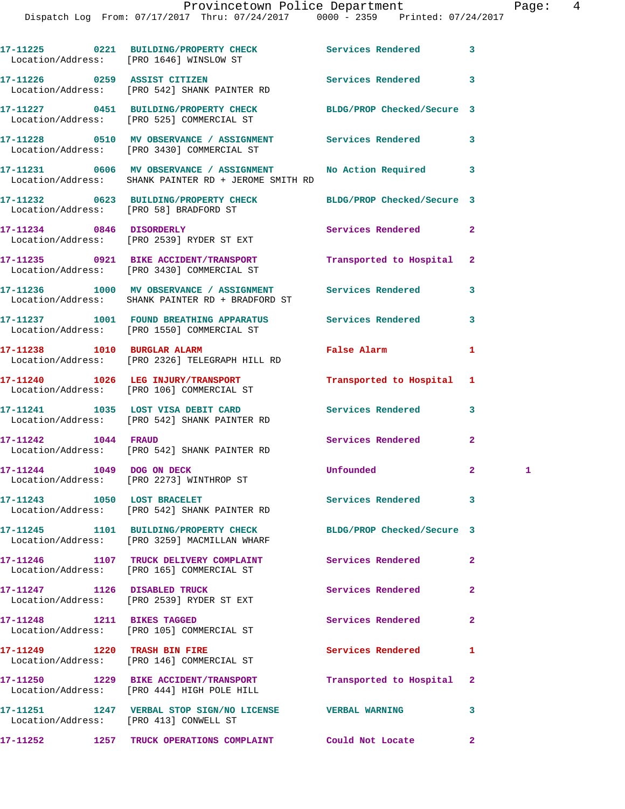|                            | 17-11225 0221 BUILDING/PROPERTY CHECK Services Rendered<br>Location/Address: [PRO 1646] WINSLOW ST                  |                            | 3              |   |
|----------------------------|---------------------------------------------------------------------------------------------------------------------|----------------------------|----------------|---|
|                            | 17-11226 0259 ASSIST CITIZEN<br>Location/Address: [PRO 542] SHANK PAINTER RD                                        | <b>Services Rendered</b>   | 3              |   |
|                            | 17-11227 0451 BUILDING/PROPERTY CHECK BLDG/PROP Checked/Secure 3<br>Location/Address: [PRO 525] COMMERCIAL ST       |                            |                |   |
|                            | 17-11228 0510 MV OBSERVANCE / ASSIGNMENT Services Rendered<br>Location/Address: [PRO 3430] COMMERCIAL ST            |                            | 3              |   |
|                            | 17-11231 0606 MV OBSERVANCE / ASSIGNMENT No Action Required<br>Location/Address: SHANK PAINTER RD + JEROME SMITH RD |                            | 3              |   |
|                            | 17-11232 0623 BUILDING/PROPERTY CHECK BLDG/PROP Checked/Secure 3<br>Location/Address: [PRO 58] BRADFORD ST          |                            |                |   |
|                            | 17-11234 0846 DISORDERLY<br>Location/Address: [PRO 2539] RYDER ST EXT                                               | Services Rendered          | $\mathbf{2}$   |   |
|                            | 17-11235 0921 BIKE ACCIDENT/TRANSPORT<br>Location/Address: [PRO 3430] COMMERCIAL ST                                 | Transported to Hospital    | $\mathbf{2}$   |   |
|                            | 17-11236 1000 MV OBSERVANCE / ASSIGNMENT Services Rendered<br>Location/Address: SHANK PAINTER RD + BRADFORD ST      |                            | 3              |   |
|                            | 17-11237 1001 FOUND BREATHING APPARATUS Services Rendered<br>Location/Address: [PRO 1550] COMMERCIAL ST             |                            | 3              |   |
|                            | 17-11238 1010 BURGLAR ALARM<br>Location/Address: [PRO 2326] TELEGRAPH HILL RD                                       | False Alarm                | 1              |   |
|                            | 17-11240 1026 LEG INJURY/TRANSPORT<br>Location/Address: [PRO 106] COMMERCIAL ST                                     | Transported to Hospital    | 1              |   |
|                            | 17-11241 1035 LOST VISA DEBIT CARD<br>Location/Address: [PRO 542] SHANK PAINTER RD                                  | Services Rendered          | 3              |   |
| 17-11242 1044 FRAUD        | Location/Address: [PRO 542] SHANK PAINTER RD                                                                        | Services Rendered          | $\mathbf{2}$   |   |
|                            | 17-11244 1049 DOG ON DECK<br>Location/Address: [PRO 2273] WINTHROP ST                                               | Unfounded                  | $\mathbf{2}$   | 1 |
|                            | 17-11243 1050 LOST BRACELET<br>Location/Address: [PRO 542] SHANK PAINTER RD                                         | Services Rendered          | 3              |   |
|                            | 17-11245 1101 BUILDING/PROPERTY CHECK<br>Location/Address: [PRO 3259] MACMILLAN WHARF                               | BLDG/PROP Checked/Secure 3 |                |   |
|                            | 17-11246 1107 TRUCK DELIVERY COMPLAINT<br>Location/Address: [PRO 165] COMMERCIAL ST                                 | Services Rendered          | $\overline{a}$ |   |
|                            | 17-11247 1126 DISABLED TRUCK<br>Location/Address: [PRO 2539] RYDER ST EXT                                           | Services Rendered          | $\mathbf{2}$   |   |
| 17-11248 1211 BIKES TAGGED | Location/Address: [PRO 105] COMMERCIAL ST                                                                           | Services Rendered          | $\overline{a}$ |   |
|                            | Location/Address: [PRO 146] COMMERCIAL ST                                                                           | <b>Services Rendered</b>   | 1              |   |
|                            | 17-11250 1229 BIKE ACCIDENT/TRANSPORT<br>Location/Address: [PRO 444] HIGH POLE HILL                                 | Transported to Hospital    | $\mathbf{2}$   |   |
|                            | 17-11251 1247 VERBAL STOP SIGN/NO LICENSE VERBAL WARNING<br>Location/Address: [PRO 413] CONWELL ST                  |                            | 3              |   |
|                            | 17-11252 1257 TRUCK OPERATIONS COMPLAINT Could Not Locate                                                           |                            | $\mathbf{2}$   |   |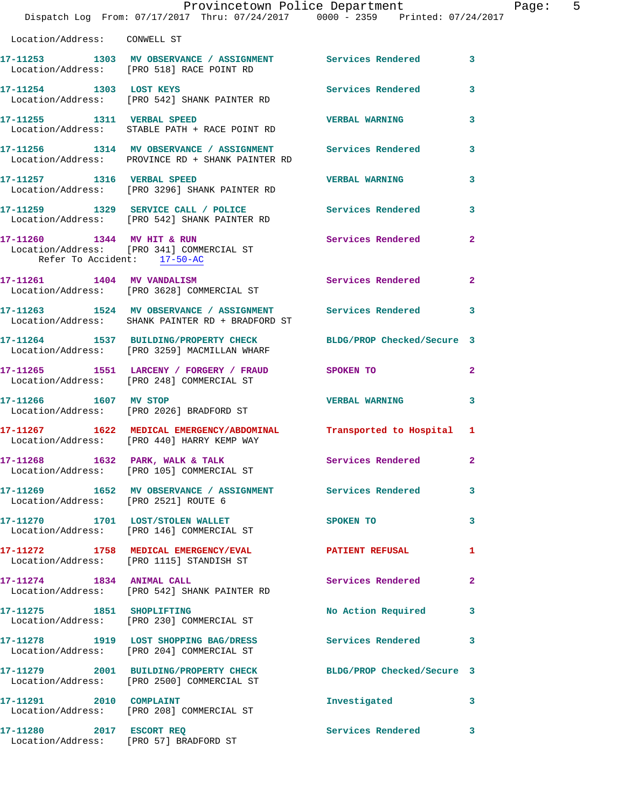|                                                           | Provincetown Police Department<br>Dispatch Log From: 07/17/2017 Thru: 07/24/2017 0000 - 2359 Printed: 07/24/2017  |                            |                |
|-----------------------------------------------------------|-------------------------------------------------------------------------------------------------------------------|----------------------------|----------------|
| Location/Address: CONWELL ST                              |                                                                                                                   |                            |                |
|                                                           | 17-11253 1303 MV OBSERVANCE / ASSIGNMENT Services Rendered<br>Location/Address: [PRO 518] RACE POINT RD           |                            | 3              |
| 17-11254 1303 LOST KEYS                                   | Location/Address: [PRO 542] SHANK PAINTER RD                                                                      | <b>Services Rendered</b>   | 3              |
| 17-11255 1311 VERBAL SPEED                                | Location/Address: STABLE PATH + RACE POINT RD                                                                     | <b>VERBAL WARNING</b>      | 3              |
|                                                           | 17-11256 1314 MV OBSERVANCE / ASSIGNMENT Services Rendered<br>Location/Address: PROVINCE RD + SHANK PAINTER RD    |                            | 3              |
| 17-11257 1316 VERBAL SPEED                                | Location/Address: [PRO 3296] SHANK PAINTER RD                                                                     | <b>VERBAL WARNING</b>      | 3              |
|                                                           | 17-11259 1329 SERVICE CALL / POLICE<br>Location/Address: [PRO 542] SHANK PAINTER RD                               | <b>Services Rendered</b>   | 3              |
| 17-11260 1344 MV HIT & RUN<br>Refer To Accident: 17-50-AC | Location/Address: [PRO 341] COMMERCIAL ST                                                                         | Services Rendered          | 2              |
| 17-11261 1404 MV VANDALISM                                | Location/Address: [PRO 3628] COMMERCIAL ST                                                                        | Services Rendered          | $\overline{a}$ |
|                                                           | 17-11263 1524 MV OBSERVANCE / ASSIGNMENT Services Rendered<br>Location/Address: SHANK PAINTER RD + BRADFORD ST    |                            | 3              |
|                                                           | 17-11264 1537 BUILDING/PROPERTY CHECK BLDG/PROP Checked/Secure 3<br>Location/Address: [PRO 3259] MACMILLAN WHARF  |                            |                |
|                                                           | 17-11265 1551 LARCENY / FORGERY / FRAUD SPOKEN TO<br>Location/Address: [PRO 248] COMMERCIAL ST                    |                            | $\mathbf{2}$   |
| 17-11266 1607 MV STOP                                     | Location/Address: [PRO 2026] BRADFORD ST                                                                          | <b>VERBAL WARNING</b>      | 3              |
|                                                           | 17-11267 1622 MEDICAL EMERGENCY/ABDOMINAL Transported to Hospital 1<br>Location/Address: [PRO 440] HARRY KEMP WAY |                            |                |
| 17-11268 1632 PARK, WALK & TALK                           | Location/Address: [PRO 105] COMMERCIAL ST                                                                         | <b>Services Rendered</b>   |                |
| Location/Address: [PRO 2521] ROUTE 6                      | 17-11269 1652 MV OBSERVANCE / ASSIGNMENT Services Rendered                                                        |                            | 3              |
|                                                           | 17-11270 1701 LOST/STOLEN WALLET<br>Location/Address: [PRO 146] COMMERCIAL ST                                     | SPOKEN TO                  | 3              |
|                                                           | 17-11272 1758 MEDICAL EMERGENCY/EVAL<br>Location/Address: [PRO 1115] STANDISH ST                                  | <b>PATIENT REFUSAL</b>     | 1              |
| 17-11274 1834 ANIMAL CALL                                 | Location/Address: [PRO 542] SHANK PAINTER RD                                                                      | Services Rendered          | $\overline{a}$ |
| 17-11275 1851 SHOPLIFTING                                 | Location/Address: [PRO 230] COMMERCIAL ST                                                                         | No Action Required         | 3              |
|                                                           | 17-11278 1919 LOST SHOPPING BAG/DRESS<br>Location/Address: [PRO 204] COMMERCIAL ST                                | Services Rendered          | 3              |
|                                                           | 17-11279 2001 BUILDING/PROPERTY CHECK<br>Location/Address: [PRO 2500] COMMERCIAL ST                               | BLDG/PROP Checked/Secure 3 |                |
| 17-11291 2010 COMPLAINT                                   | Location/Address: [PRO 208] COMMERCIAL ST                                                                         | Investigated               | 3              |
| 17-11280 2017 ESCORT REQ                                  |                                                                                                                   | Services Rendered          | 3              |

Location/Address: [PRO 57] BRADFORD ST

Page: 5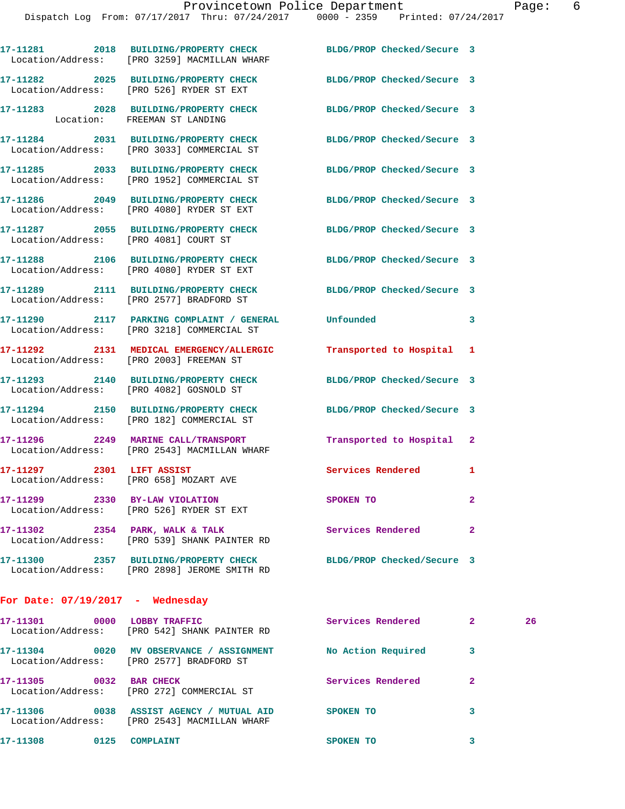Dispatch Log From: 07/17/2017 Thru: 07/24/2017 0000 - 2359 Printed: 07/24/2017

**17-11281 2018 BUILDING/PROPERTY CHECK BLDG/PROP Checked/Secure 3**  Location/Address: [PRO 3259] MACMILLAN WHARF

**17-11282 2025 BUILDING/PROPERTY CHECK BLDG/PROP Checked/Secure 3**  Location/Address: [PRO 526] RYDER ST EXT

**17-11284 2031 BUILDING/PROPERTY CHECK BLDG/PROP Checked/Secure 3** 

Location/Address: [PRO 4080] RYDER ST EXT

Location/Address: [PRO 182] COMMERCIAL ST

**17-11299 2330 BY-LAW VIOLATION SPOKEN TO 2** 

**For Date: 07/19/2017 - Wednesday**

**17-11301 0000 LOBBY TRAFFIC Services Rendered 2 26**  Location/Address: [PRO 542] SHANK PAINTER RD **17-11304 0020 MV OBSERVANCE / ASSIGNMENT No Action Required 3**  Location/Address: [PRO 2577] BRADFORD ST **17-11305 0032 BAR CHECK Services Rendered 2**  Location/Address: [PRO 272] COMMERCIAL ST **17-11306 0038 ASSIST AGENCY / MUTUAL AID SPOKEN TO 3**  Location/Address: [PRO 2543] MACMILLAN WHARF **17-11308 0125 COMPLAINT SPOKEN TO 3** 

**17-11283 2028 BUILDING/PROPERTY CHECK BLDG/PROP Checked/Secure 3**  Location: FREEMAN ST LANDING

Location/Address: [PRO 3033] COMMERCIAL ST

**17-11285 2033 BUILDING/PROPERTY CHECK BLDG/PROP Checked/Secure 3**  Location/Address: [PRO 1952] COMMERCIAL ST

**17-11286 2049 BUILDING/PROPERTY CHECK BLDG/PROP Checked/Secure 3** 

Location/Address: [PRO 4081] COURT ST

Location/Address: [PRO 4080] RYDER ST EXT

Location/Address: [PRO 2577] BRADFORD ST

**17-11290 2117 PARKING COMPLAINT / GENERAL Unfounded 3**  Location/Address: [PRO 3218] COMMERCIAL ST

Location/Address: [PRO 2003] FREEMAN ST

**17-11293 2140 BUILDING/PROPERTY CHECK BLDG/PROP Checked/Secure 3**  Location/Address: [PRO 4082] GOSNOLD ST

**17-11294 2150 BUILDING/PROPERTY CHECK BLDG/PROP Checked/Secure 3** 

**17-11296 2249 MARINE CALL/TRANSPORT Transported to Hospital 2**  Location/Address: [PRO 2543] MACMILLAN WHARF

Location/Address: [PRO 658] MOZART AVE

Location/Address: [PRO 526] RYDER ST EXT

**17-11302 2354 PARK, WALK & TALK Services Rendered 2**  Location/Address: [PRO 539] SHANK PAINTER RD

**17-11300 2357 BUILDING/PROPERTY CHECK BLDG/PROP Checked/Secure 3**  Location/Address: [PRO 2898] JEROME SMITH RD

**17-11287 2055 BUILDING/PROPERTY CHECK BLDG/PROP Checked/Secure 3** 

**17-11288 2106 BUILDING/PROPERTY CHECK BLDG/PROP Checked/Secure 3** 

**17-11289 2111 BUILDING/PROPERTY CHECK BLDG/PROP Checked/Secure 3** 

**17-11292 2131 MEDICAL EMERGENCY/ALLERGIC Transported to Hospital 1** 

17-11297 2301 LIFT ASSIST Services Rendered 1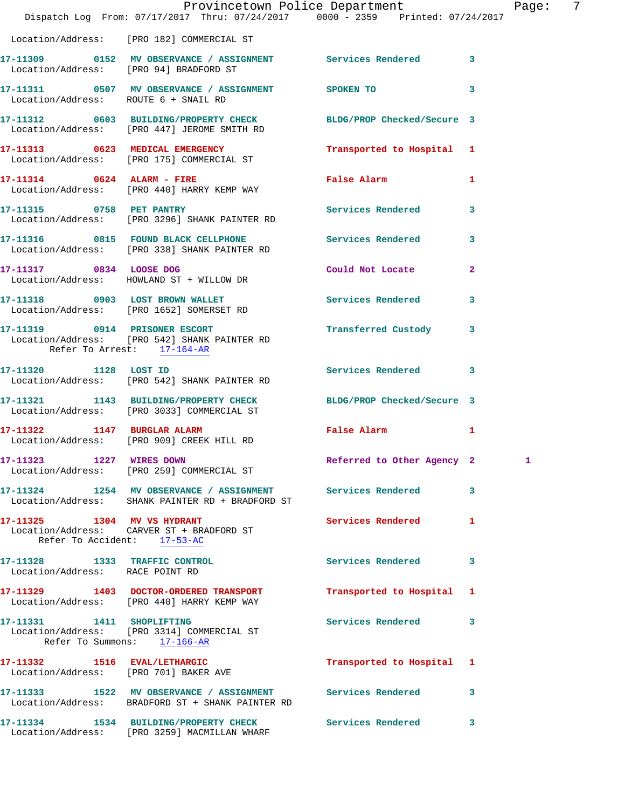|                                                                  | Provincetown Police Department<br>Dispatch Log From: 07/17/2017 Thru: 07/24/2017 0000 - 2359 Printed: 07/24/2017 |                                                                                                                |                         | Page: | 7 |
|------------------------------------------------------------------|------------------------------------------------------------------------------------------------------------------|----------------------------------------------------------------------------------------------------------------|-------------------------|-------|---|
|                                                                  | Location/Address: [PRO 182] COMMERCIAL ST                                                                        |                                                                                                                |                         |       |   |
|                                                                  | 17-11309 0152 MV OBSERVANCE / ASSIGNMENT Services Rendered 3<br>Location/Address: [PRO 94] BRADFORD ST           |                                                                                                                |                         |       |   |
| Location/Address: ROUTE 6 + SNAIL RD                             | 17-11311 0507 MV OBSERVANCE / ASSIGNMENT SPOKEN TO 3                                                             |                                                                                                                |                         |       |   |
|                                                                  | 17-11312 0603 BUILDING/PROPERTY CHECK BLDG/PROP Checked/Secure 3<br>Location/Address: [PRO 447] JEROME SMITH RD  |                                                                                                                |                         |       |   |
|                                                                  | 17-11313 0623 MEDICAL EMERGENCY Transported to Hospital 1<br>Location/Address: [PRO 175] COMMERCIAL ST           |                                                                                                                |                         |       |   |
|                                                                  | 17-11314 0624 ALARM - FIRE<br>Location/Address: [PRO 440] HARRY KEMP WAY                                         | False Alarm and the state of the state of the state of the state of the state of the state of the state of the | $\mathbf{1}$            |       |   |
|                                                                  | 17-11315 0758 PET PANTRY<br>Location/Address: [PRO 3296] SHANK PAINTER RD                                        | Services Rendered 3                                                                                            |                         |       |   |
|                                                                  | 17-11316 0815 FOUND BLACK CELLPHONE Services Rendered<br>Location/Address: [PRO 338] SHANK PAINTER RD            |                                                                                                                | $\overline{\mathbf{3}}$ |       |   |
|                                                                  | 17-11317 0834 LOOSE DOG<br>Location/Address: HOWLAND ST + WILLOW DR                                              | Could Not Locate                                                                                               | $\overline{a}$          |       |   |
|                                                                  | 17-11318 0903 LOST BROWN WALLET<br>Location/Address: [PRO 1652] SOMERSET RD                                      | Services Rendered 3                                                                                            |                         |       |   |
| Refer To Arrest: 17-164-AR                                       | 17-11319 0914 PRISONER ESCORT<br>Location/Address: [PRO 542] SHANK PAINTER RD                                    | Transferred Custody 3                                                                                          |                         |       |   |
| 17-11320 1128 LOST ID                                            | Location/Address: [PRO 542] SHANK PAINTER RD                                                                     | Services Rendered 3                                                                                            |                         |       |   |
|                                                                  | 17-11321 1143 BUILDING/PROPERTY CHECK BLDG/PROP Checked/Secure 3<br>Location/Address: [PRO 3033] COMMERCIAL ST   |                                                                                                                |                         |       |   |
| 17-11322 1147 BURGLAR ALARM                                      | Location/Address: [PRO 909] CREEK HILL RD                                                                        | False Alarm                                                                                                    | $\mathbf{1}$            |       |   |
| 17-11323 1227 WIRES DOWN                                         | Location/Address: [PRO 259] COMMERCIAL ST                                                                        | Referred to Other Agency 2                                                                                     |                         | 1     |   |
|                                                                  | 17-11324 1254 MV OBSERVANCE / ASSIGNMENT Services Rendered<br>Location/Address: SHANK PAINTER RD + BRADFORD ST   |                                                                                                                | 3                       |       |   |
|                                                                  | 17-11325 1304 MV VS HYDRANT<br>Location/Address: CARVER ST + BRADFORD ST<br>Refer To Accident: 17-53-AC          | <b>Services Rendered</b>                                                                                       | 1                       |       |   |
| 17-11328 1333 TRAFFIC CONTROL<br>Location/Address: RACE POINT RD |                                                                                                                  | Services Rendered                                                                                              | 3                       |       |   |
|                                                                  | 17-11329 1403 DOCTOR-ORDERED TRANSPORT<br>Location/Address: [PRO 440] HARRY KEMP WAY                             | Transported to Hospital 1                                                                                      |                         |       |   |
| 17-11331 1411 SHOPLIFTING                                        | Location/Address: [PRO 3314] COMMERCIAL ST<br>Refer To Summons: 17-166-AR                                        | Services Rendered 3                                                                                            |                         |       |   |
| Location/Address: [PRO 701] BAKER AVE                            | 17-11332 1516 EVAL/LETHARGIC                                                                                     | Transported to Hospital 1                                                                                      |                         |       |   |
|                                                                  | 17-11333 1522 MV OBSERVANCE / ASSIGNMENT<br>Location/Address: BRADFORD ST + SHANK PAINTER RD                     | Services Rendered                                                                                              | 3                       |       |   |
|                                                                  | 17-11334 1534 BUILDING/PROPERTY CHECK<br>Location/Address: [PRO 3259] MACMILLAN WHARF                            | Services Rendered 3                                                                                            |                         |       |   |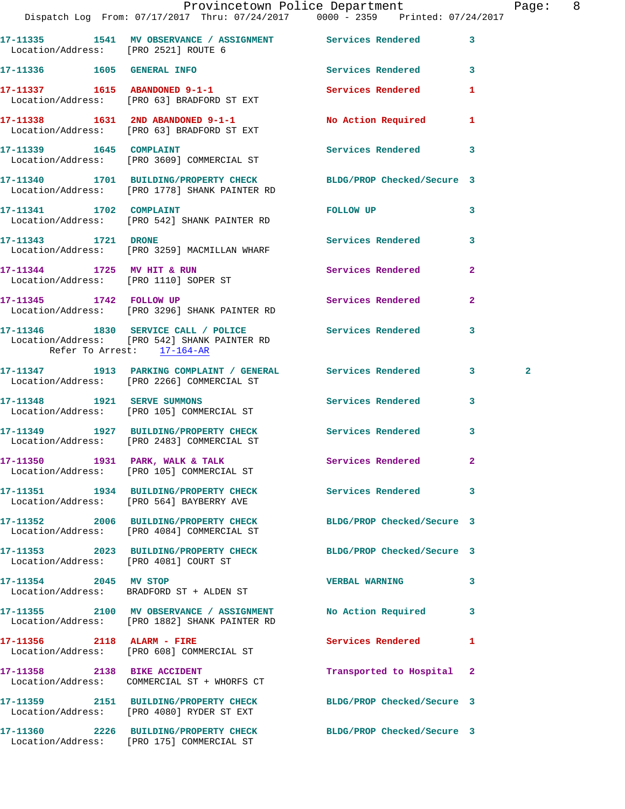|                                                                     | Dispatch Log From: 07/17/2017 Thru: 07/24/2017 0000 - 2359 Printed: 07/24/2017                                    | Provincetown Police Department                                                                                                                                                                                                 |              | Page: 8        |  |
|---------------------------------------------------------------------|-------------------------------------------------------------------------------------------------------------------|--------------------------------------------------------------------------------------------------------------------------------------------------------------------------------------------------------------------------------|--------------|----------------|--|
| Location/Address: [PRO 2521] ROUTE 6                                | 17-11335 1541 MV OBSERVANCE / ASSIGNMENT Services Rendered 3                                                      |                                                                                                                                                                                                                                |              |                |  |
|                                                                     | 17-11336 1605 GENERAL INFO                                                                                        | Services Rendered 3                                                                                                                                                                                                            |              |                |  |
|                                                                     | 17-11337 1615 ABANDONED 9-1-1<br>Location/Address: [PRO 63] BRADFORD ST EXT                                       | <b>Services Rendered</b>                                                                                                                                                                                                       | 1            |                |  |
|                                                                     | 17-11338 1631 2ND ABANDONED 9-1-1<br>Location/Address: [PRO 63] BRADFORD ST EXT                                   | No Action Required 1                                                                                                                                                                                                           |              |                |  |
|                                                                     | 17-11339 1645 COMPLAINT<br>Location/Address: [PRO 3609] COMMERCIAL ST                                             | Services Rendered 3                                                                                                                                                                                                            |              |                |  |
|                                                                     | 17-11340 1701 BUILDING/PROPERTY CHECK BLDG/PROP Checked/Secure 3<br>Location/Address: [PRO 1778] SHANK PAINTER RD |                                                                                                                                                                                                                                |              |                |  |
|                                                                     | 17-11341 1702 COMPLAINT<br>Location/Address: [PRO 542] SHANK PAINTER RD                                           | FOLLOW UP THE TRANSPORTED TO A THE TRANSPORTED TO A THE TRANSPORTED TO A THE TRANSPORTED TO A THE TRANSPORTED THAT A THE TRANSPORTED THAT A THE TRANSPORTED THAT A THE TRANSPORTED THAT A THE TRANSPORTED THAT A THE TRANSPORT | 3            |                |  |
| 17-11343 1721 DRONE                                                 | Location/Address: [PRO 3259] MACMILLAN WHARF                                                                      | Services Rendered 3                                                                                                                                                                                                            |              |                |  |
| 17-11344 1725 MV HIT & RUN<br>Location/Address: [PRO 1110] SOPER ST |                                                                                                                   | Services Rendered                                                                                                                                                                                                              | $\mathbf{2}$ |                |  |
|                                                                     | 17-11345 1742 FOLLOW UP<br>Location/Address: [PRO 3296] SHANK PAINTER RD                                          | Services Rendered                                                                                                                                                                                                              | $\mathbf{2}$ |                |  |
| Refer To Arrest: 17-164-AR                                          | 17-11346 1830 SERVICE CALL / POLICE<br>Location/Address: [PRO 542] SHANK PAINTER RD                               | Services Rendered                                                                                                                                                                                                              | $\mathbf{3}$ |                |  |
|                                                                     | 17-11347 1913 PARKING COMPLAINT / GENERAL Services Rendered 3<br>Location/Address: [PRO 2266] COMMERCIAL ST       |                                                                                                                                                                                                                                |              | $\overline{a}$ |  |
| 17-11348 1921 SERVE SUMMONS                                         | Location/Address: [PRO 105] COMMERCIAL ST                                                                         | Services Rendered 3                                                                                                                                                                                                            |              |                |  |
|                                                                     | 17-11349 1927 BUILDING/PROPERTY CHECK Services Rendered<br>Location/Address: [PRO 2483] COMMERCIAL ST             |                                                                                                                                                                                                                                | 3            |                |  |
|                                                                     | $17-11350$ 1931 PARK, WALK & TALK<br>Location/Address: [PRO 105] COMMERCIAL ST                                    | Services Rendered 2                                                                                                                                                                                                            |              |                |  |
|                                                                     | 17-11351 1934 BUILDING/PROPERTY CHECK Services Rendered 3<br>Location/Address: [PRO 564] BAYBERRY AVE             |                                                                                                                                                                                                                                |              |                |  |
|                                                                     | 17-11352 2006 BUILDING/PROPERTY CHECK<br>Location/Address: [PRO 4084] COMMERCIAL ST                               | BLDG/PROP Checked/Secure 3                                                                                                                                                                                                     |              |                |  |
| Location/Address: [PRO 4081] COURT ST                               | 17-11353 2023 BUILDING/PROPERTY CHECK BLDG/PROP Checked/Secure 3                                                  |                                                                                                                                                                                                                                |              |                |  |
| 17-11354 2045 MV STOP                                               | Location/Address: BRADFORD ST + ALDEN ST                                                                          | <b>VERBAL WARNING</b>                                                                                                                                                                                                          | 3            |                |  |
|                                                                     | 17-11355 2100 MV OBSERVANCE / ASSIGNMENT<br>Location/Address: [PRO 1882] SHANK PAINTER RD                         | No Action Required                                                                                                                                                                                                             | 3            |                |  |
|                                                                     | 17-11356 2118 ALARM - FIRE<br>Location/Address: [PRO 608] COMMERCIAL ST                                           | Services Rendered 1                                                                                                                                                                                                            |              |                |  |
|                                                                     | 17-11358 2138 BIKE ACCIDENT<br>Location/Address: COMMERCIAL ST + WHORFS CT                                        | Transported to Hospital 2                                                                                                                                                                                                      |              |                |  |
|                                                                     | 17-11359 2151 BUILDING/PROPERTY CHECK BLDG/PROP Checked/Secure 3<br>Location/Address: [PRO 4080] RYDER ST EXT     |                                                                                                                                                                                                                                |              |                |  |
|                                                                     | 17-11360 2226 BUILDING/PROPERTY CHECK BLDG/PROP Checked/Secure 3<br>Location/Address: [PRO 175] COMMERCIAL ST     |                                                                                                                                                                                                                                |              |                |  |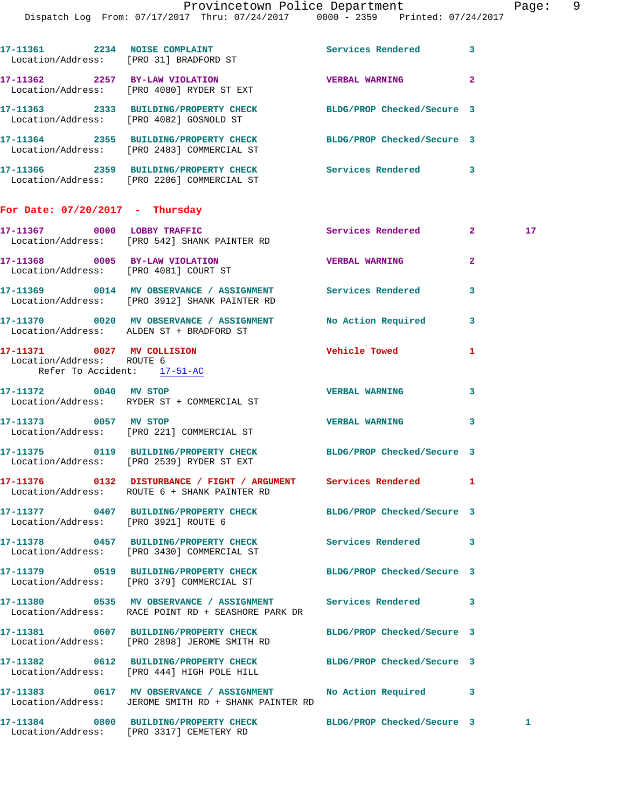| 17-11361 2234 NOISE COMPLAINT<br>Location/Address: [PRO 31] BRADFORD ST |                                                                                                                | Services Rendered     | $\mathbf{3}$   |    |
|-------------------------------------------------------------------------|----------------------------------------------------------------------------------------------------------------|-----------------------|----------------|----|
| 17-11362 2257 BY-LAW VIOLATION                                          | Location/Address: [PRO 4080] RYDER ST EXT                                                                      | <b>VERBAL WARNING</b> | $\overline{2}$ |    |
| Location/Address: [PRO 4082] GOSNOLD ST                                 | 17-11363 2333 BUILDING/PROPERTY CHECK BLDG/PROP Checked/Secure 3                                               |                       |                |    |
|                                                                         | 17-11364 2355 BUILDING/PROPERTY CHECK BLDG/PROP Checked/Secure 3<br>Location/Address: [PRO 2483] COMMERCIAL ST |                       |                |    |
|                                                                         | Location/Address: [PRO 2206] COMMERCIAL ST                                                                     |                       | 3              |    |
| For Date: $07/20/2017$ - Thursday                                       |                                                                                                                |                       |                |    |
| 17-11367 0000 LOBBY TRAFFIC                                             | Location/Address: [PRO 542] SHANK PAINTER RD                                                                   | Services Rendered 2   |                | 17 |
| 17-11368 0005 BY-LAW VIOLATION<br>Location/Address: [PRO 4081] COURT ST |                                                                                                                | <b>VERBAL WARNING</b> | $\overline{2}$ |    |
|                                                                         | 17-11369 0014 MV OBSERVANCE / ASSIGNMENT Services Rendered                                                     |                       | 3              |    |

- **17-11370 0020 MV OBSERVANCE / ASSIGNMENT No Action Required 3**  Location/Address: ALDEN ST + BRADFORD ST **17-11371 0027 MV COLLISION Vehicle Towed 1**  Location/Address: ROUTE 6 Refer To Accident: 17-51-AC
- **17-11372 0040 MV STOP VERBAL WARNING 3**  Location/Address: RYDER ST + COMMERCIAL ST **17-11373 0057 MV STOP VERBAL WARNING 3**  Location/Address: [PRO 221] COMMERCIAL ST
- **17-11375 0119 BUILDING/PROPERTY CHECK BLDG/PROP Checked/Secure 3**  Location/Address: [PRO 2539] RYDER ST EXT
- **17-11376 0132 DISTURBANCE / FIGHT / ARGUMENT Services Rendered 1**  Location/Address: ROUTE 6 + SHANK PAINTER RD
- **17-11377 0407 BUILDING/PROPERTY CHECK BLDG/PROP Checked/Secure 3**  Location/Address: [PRO 3921] ROUTE 6 **17-11378 0457 BUILDING/PROPERTY CHECK Services Rendered 3**  Location/Address: [PRO 3430] COMMERCIAL ST **17-11379 0519 BUILDING/PROPERTY CHECK BLDG/PROP Checked/Secure 3**  Location/Address: [PRO 379] COMMERCIAL ST **17-11380 0535 MV OBSERVANCE / ASSIGNMENT Services Rendered 3**  Location/Address: RACE POINT RD + SEASHORE PARK DR **17-11381 0607 BUILDING/PROPERTY CHECK BLDG/PROP Checked/Secure 3**  Location/Address: [PRO 2898] JEROME SMITH RD **17-11382 0612 BUILDING/PROPERTY CHECK BLDG/PROP Checked/Secure 3**  Location/Address: [PRO 444] HIGH POLE HILL
- **17-11383 0617 MV OBSERVANCE / ASSIGNMENT No Action Required 3**  Location/Address: JEROME SMITH RD + SHANK PAINTER RD

**17-11384 0800 BUILDING/PROPERTY CHECK BLDG/PROP Checked/Secure 3 1**  Location/Address: [PRO 3317] CEMETERY RD

Location/Address: [PRO 3912] SHANK PAINTER RD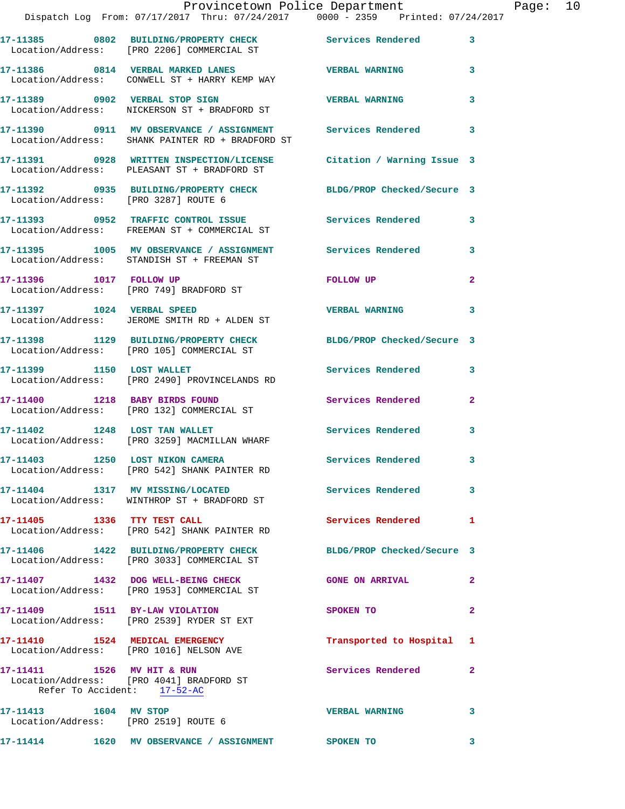|                                                                   | Provincetown Police Department<br>Dispatch Log From: 07/17/2017 Thru: 07/24/2017 0000 - 2359 Printed: 07/24/2017                 |                           |              | Page: 10 |  |
|-------------------------------------------------------------------|----------------------------------------------------------------------------------------------------------------------------------|---------------------------|--------------|----------|--|
|                                                                   | 17-11385 0802 BUILDING/PROPERTY CHECK Services Rendered 3<br>Location/Address: [PRO 2206] COMMERCIAL ST                          |                           |              |          |  |
|                                                                   | 17-11386 0814 VERBAL MARKED LANES VERBAL WARNING 3<br>Location/Address: CONWELL ST + HARRY KEMP WAY                              |                           |              |          |  |
|                                                                   |                                                                                                                                  | <b>VERBAL WARNING</b>     | 3            |          |  |
|                                                                   | 17-11390     0911 MV OBSERVANCE / ASSIGNMENT      Services Rendered      3<br>Location/Address:   SHANK PAINTER RD + BRADFORD ST |                           |              |          |  |
|                                                                   | 17-11391 0928 WRITTEN INSPECTION/LICENSE Citation / Warning Issue 3<br>Location/Address: PLEASANT ST + BRADFORD ST               |                           |              |          |  |
|                                                                   | 17-11392 0935 BUILDING/PROPERTY CHECK BLDG/PROP Checked/Secure 3<br>Location/Address: [PRO 3287] ROUTE 6                         |                           |              |          |  |
|                                                                   | 17-11393 0952 TRAFFIC CONTROL ISSUE 5 Services Rendered 3<br>Location/Address: FREEMAN ST + COMMERCIAL ST                        |                           |              |          |  |
|                                                                   | 17-11395 1005 MV OBSERVANCE / ASSIGNMENT Services Rendered 3<br>Location/Address: STANDISH ST + FREEMAN ST                       |                           |              |          |  |
| 17-11396 1017 FOLLOW UP                                           | Location/Address: [PRO 749] BRADFORD ST                                                                                          | FOLLOW UP                 | $\mathbf{2}$ |          |  |
|                                                                   | 17-11397 1024 VERBAL SPEED<br>Location/Address: JEROME SMITH RD + ALDEN ST                                                       | <b>VERBAL WARNING</b>     | 3            |          |  |
|                                                                   | 17-11398 1129 BUILDING/PROPERTY CHECK BLDG/PROP Checked/Secure 3<br>Location/Address: [PRO 105] COMMERCIAL ST                    |                           |              |          |  |
|                                                                   | 17-11399 1150 LOST WALLET<br>Location/Address: [PRO 2490] PROVINCELANDS RD                                                       | Services Rendered 3       |              |          |  |
| 17-11400 1218 BABY BIRDS FOUND                                    | Location/Address: [PRO 132] COMMERCIAL ST                                                                                        | Services Rendered         | $\mathbf{2}$ |          |  |
|                                                                   | 17-11402 1248 LOST TAN WALLET<br>Location/Address: [PRO 3259] MACMILLAN WHARF                                                    | Services Rendered 3       |              |          |  |
|                                                                   | 17-11403 1250 LOST NIKON CAMERA<br>Location/Address: [PRO 542] SHANK PAINTER RD                                                  | <b>Services Rendered</b>  |              |          |  |
|                                                                   | 17-11404 1317 MV MISSING/LOCATED 5 Services Rendered 3<br>Location/Address: WINTHROP ST + BRADFORD ST                            |                           |              |          |  |
|                                                                   | 17-11405 1336 TTY TEST CALL<br>Location/Address: [PRO 542] SHANK PAINTER RD                                                      | Services Rendered 1       |              |          |  |
|                                                                   | 17-11406 1422 BUILDING/PROPERTY CHECK BLDG/PROP Checked/Secure 3<br>Location/Address: [PRO 3033] COMMERCIAL ST                   |                           |              |          |  |
|                                                                   | 17-11407 1432 DOG WELL-BEING CHECK GONE ON ARRIVAL<br>Location/Address: [PRO 1953] COMMERCIAL ST                                 |                           |              |          |  |
|                                                                   | 17-11409 1511 BY-LAW VIOLATION<br>Location/Address: [PRO 2539] RYDER ST EXT                                                      | SPOKEN TO                 | $\mathbf{2}$ |          |  |
|                                                                   | 17-11410 1524 MEDICAL EMERGENCY<br>Location/Address: [PRO 1016] NELSON AVE                                                       | Transported to Hospital 1 |              |          |  |
| Refer To Accident: 17-52-AC                                       | 17-11411 1526 MV HIT & RUN<br>Location/Address: [PRO 4041] BRADFORD ST                                                           | Services Rendered         | $\mathbf{2}$ |          |  |
| 17-11413   1604   MV STOP<br>Location/Address: [PRO 2519] ROUTE 6 |                                                                                                                                  | <b>VERBAL WARNING</b>     | 3            |          |  |
|                                                                   |                                                                                                                                  |                           |              |          |  |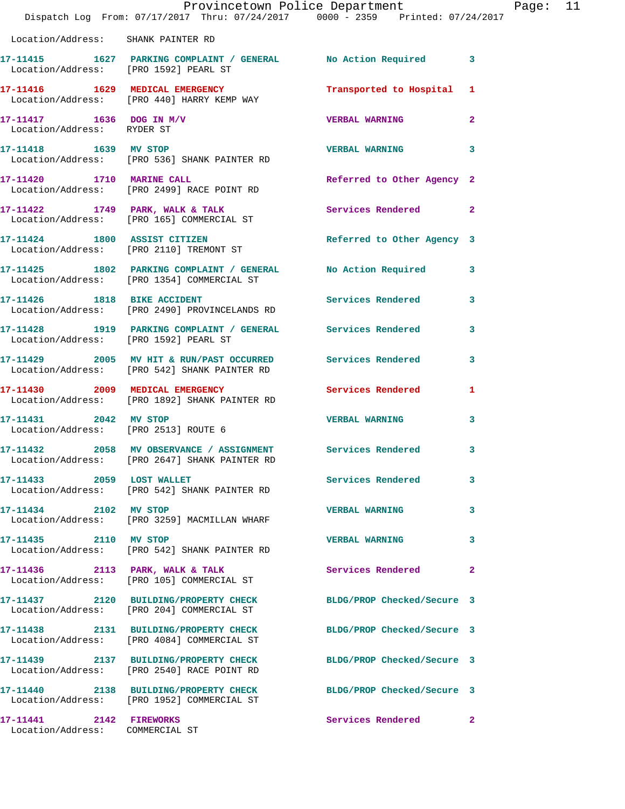|                                                            | Dispatch Log From: 07/17/2017 Thru: 07/24/2017 0000 - 2359 Printed: 07/24/2017                                 | Provincetown Police Department |              | Page: 11 |  |
|------------------------------------------------------------|----------------------------------------------------------------------------------------------------------------|--------------------------------|--------------|----------|--|
| Location/Address: SHANK PAINTER RD                         |                                                                                                                |                                |              |          |  |
|                                                            | 17-11415 1627 PARKING COMPLAINT / GENERAL No Action Required 3<br>Location/Address: [PRO 1592] PEARL ST        |                                |              |          |  |
|                                                            | 17-11416 1629 MEDICAL EMERGENCY<br>Location/Address: [PRO 440] HARRY KEMP WAY                                  | Transported to Hospital 1      |              |          |  |
| 17-11417 1636 DOG IN M/V<br>Location/Address: RYDER ST     |                                                                                                                | <b>VERBAL WARNING 2</b>        |              |          |  |
| 17-11418 1639 MV STOP                                      | Location/Address: [PRO 536] SHANK PAINTER RD                                                                   | VERBAL WARNING 3               |              |          |  |
| 17-11420 1710 MARINE CALL                                  | Location/Address: [PRO 2499] RACE POINT RD                                                                     | Referred to Other Agency 2     |              |          |  |
|                                                            | 17-11422 1749 PARK, WALK & TALK<br>Location/Address: [PRO 165] COMMERCIAL ST                                   | Services Rendered 2            |              |          |  |
|                                                            | 17-11424 1800 ASSIST CITIZEN<br>Location/Address: [PRO 2110] TREMONT ST                                        | Referred to Other Agency 3     |              |          |  |
|                                                            | 17-11425 1802 PARKING COMPLAINT / GENERAL No Action Required 3<br>Location/Address: [PRO 1354] COMMERCIAL ST   |                                |              |          |  |
|                                                            | 17-11426 1818 BIKE ACCIDENT<br>Location/Address: [PRO 2490] PROVINCELANDS RD                                   | Services Rendered 3            |              |          |  |
| Location/Address: [PRO 1592] PEARL ST                      | 17-11428 1919 PARKING COMPLAINT / GENERAL Services Rendered 3                                                  |                                |              |          |  |
|                                                            | 17-11429 2005 MV HIT & RUN/PAST OCCURRED Services Rendered<br>Location/Address: [PRO 542] SHANK PAINTER RD     |                                | $\mathbf{3}$ |          |  |
|                                                            | 17-11430 2009 MEDICAL EMERGENCY Services Rendered 1<br>Location/Address: [PRO 1892] SHANK PAINTER RD           |                                |              |          |  |
| Location/Address: [PRO 2513] ROUTE 6                       | 17-11431 2042 MV STOP                                                                                          | <b>VERBAL WARNING</b>          | $\mathbf{3}$ |          |  |
|                                                            | 17-11432 2058 MV OBSERVANCE / ASSIGNMENT Services Rendered 3<br>Location/Address: [PRO 2647] SHANK PAINTER RD  |                                |              |          |  |
|                                                            | 17-11433 2059 LOST WALLET<br>Location/Address: [PRO 542] SHANK PAINTER RD                                      | <b>Services Rendered</b>       | 3            |          |  |
| 17-11434 2102 MV STOP                                      | Location/Address: [PRO 3259] MACMILLAN WHARF                                                                   | <b>VERBAL WARNING</b>          | 3            |          |  |
| 17-11435 2110 MV STOP                                      | Location/Address: [PRO 542] SHANK PAINTER RD                                                                   | <b>VERBAL WARNING</b>          | 3            |          |  |
|                                                            | 17-11436 2113 PARK, WALK & TALK<br>Location/Address: [PRO 105] COMMERCIAL ST                                   | <b>Services Rendered</b>       | $\mathbf{2}$ |          |  |
|                                                            | 17-11437 2120 BUILDING/PROPERTY CHECK BLDG/PROP Checked/Secure 3<br>Location/Address: [PRO 204] COMMERCIAL ST  |                                |              |          |  |
|                                                            | 17-11438 2131 BUILDING/PROPERTY CHECK BLDG/PROP Checked/Secure 3<br>Location/Address: [PRO 4084] COMMERCIAL ST |                                |              |          |  |
|                                                            | 17-11439 2137 BUILDING/PROPERTY CHECK<br>Location/Address: [PRO 2540] RACE POINT RD                            | BLDG/PROP Checked/Secure 3     |              |          |  |
|                                                            | 17-11440 2138 BUILDING/PROPERTY CHECK BLDG/PROP Checked/Secure 3<br>Location/Address: [PRO 1952] COMMERCIAL ST |                                |              |          |  |
| 17-11441 2142 FIREWORKS<br>Location/Address: COMMERCIAL ST |                                                                                                                | Services Rendered 2            |              |          |  |
|                                                            |                                                                                                                |                                |              |          |  |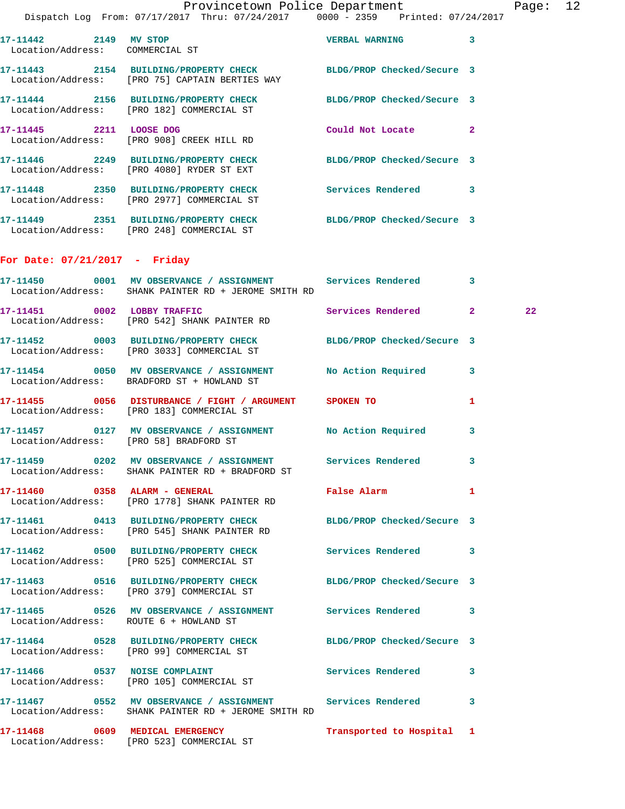| 17-11442 2149 MV STOP<br>Location/Address: COMMERCIAL ST |                                                                                          | <b>VERBAL WARNING</b>      | $\mathbf{3}$   |
|----------------------------------------------------------|------------------------------------------------------------------------------------------|----------------------------|----------------|
|                                                          | 17-11443  2154 BUILDING/PROPERTY CHECK<br>Location/Address: [PRO 75] CAPTAIN BERTIES WAY | BLDG/PROP Checked/Secure 3 |                |
|                                                          | 17-11444 2156 BUILDING/PROPERTY CHECK<br>Location/Address: [PRO 182] COMMERCIAL ST       | BLDG/PROP Checked/Secure 3 |                |
| 17-11445 2211                                            | LOOSE DOG<br>Location/Address: [PRO 908] CREEK HILL RD                                   | Could Not Locate           | $\overline{2}$ |
|                                                          | 17-11446 2249 BUILDING/PROPERTY CHECK<br>Location/Address: [PRO 4080] RYDER ST EXT       | BLDG/PROP Checked/Secure 3 |                |
|                                                          | 17-11448  2350 BUILDING/PROPERTY CHECK<br>Location/Address: [PRO 2977] COMMERCIAL ST     | Services Rendered          | 3              |
| Location/Address:                                        | 17-11449  2351 BUILDING/PROPERTY CHECK<br>[PRO 248] COMMERCIAL ST                        | BLDG/PROP Checked/Secure 3 |                |

## **For Date: 07/21/2017 - Friday**

| 17-11450 0001 MV OBSERVANCE / ASSIGNMENT Services Rendered 3<br>Location/Address: SHANK PAINTER RD + JEROME SMITH RD |                     |    |
|----------------------------------------------------------------------------------------------------------------------|---------------------|----|
| 17-11451 0002 LOBBY TRAFFIC<br>Location/Address: [PRO 542] SHANK PAINTER RD                                          | Services Rendered 2 | 22 |
| 17-11452 0003 BUILDING/PROPERTY CHECK BLDG/PROP Checked/Secure 3<br>Location/Address: [PRO 3033] COMMERCIAL ST       |                     |    |
| 17-11454 0050 MV OBSERVANCE / ASSIGNMENT No Action Required 3<br>Location/Address: BRADFORD ST + HOWLAND ST          |                     |    |
| 17-11455 0056 DISTURBANCE / FIGHT / ARGUMENT SPOKEN TO<br>Location/Address: [PRO 183] COMMERCIAL ST                  |                     | 1  |
| 17-11457 0127 MV OBSERVANCE / ASSIGNMENT No Action Required<br>Location/Address: [PRO 58] BRADFORD ST                |                     | 3  |
| 17-11459 0202 MV OBSERVANCE / ASSIGNMENT Services Rendered<br>Location/Address: SHANK PAINTER RD + BRADFORD ST       |                     | 3  |
| 17-11460 0358 ALARM - GENERAL <b>Example 2018</b> False Alarm<br>Location/Address: [PRO 1778] SHANK PAINTER RD       |                     | 1  |
| 17-11461 0413 BUILDING/PROPERTY CHECK BLDG/PROP Checked/Secure 3<br>Location/Address: [PRO 545] SHANK PAINTER RD     |                     |    |
| 17-11462 0500 BUILDING/PROPERTY CHECK Services Rendered 3<br>Location/Address: [PRO 525] COMMERCIAL ST               |                     |    |
| 17-11463 0516 BUILDING/PROPERTY CHECK BLDG/PROP Checked/Secure 3<br>Location/Address: [PRO 379] COMMERCIAL ST        |                     |    |
| 17-11465 0526 MV OBSERVANCE / ASSIGNMENT Services Rendered 3<br>Location/Address: ROUTE 6 + HOWLAND ST               |                     |    |
| 17-11464 0528 BUILDING/PROPERTY CHECK BLDG/PROP Checked/Secure 3<br>Location/Address: [PRO 99] COMMERCIAL ST         |                     |    |
| 17-11466 0537 NOISE COMPLAINT<br>Location/Address: [PRO 105] COMMERCIAL ST                                           | Services Rendered   | 3  |
| 17-11467 0552 MV OBSERVANCE / ASSIGNMENT Services Rendered 3<br>Location/Address: SHANK PAINTER RD + JEROME SMITH RD |                     |    |
| 17-11468 6609 MEDICAL EMERGENCY 1 Transported to Hospital 1<br>Location/Address: [PRO 523] COMMERCIAL ST             |                     |    |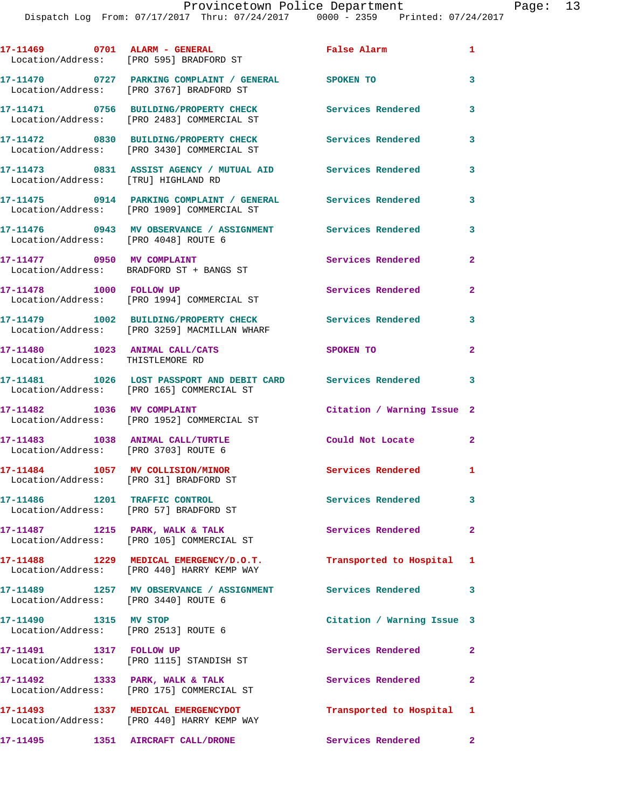|                                                                            | 17-11469 0701 ALARM - GENERAL<br>Location/Address: [PRO 595] BRADFORD ST                                  | False Alarm                | $\mathbf{1}$   |
|----------------------------------------------------------------------------|-----------------------------------------------------------------------------------------------------------|----------------------------|----------------|
|                                                                            | 17-11470 0727 PARKING COMPLAINT / GENERAL SPOKEN TO<br>Location/Address: [PRO 3767] BRADFORD ST           |                            | 3              |
|                                                                            | 17-11471 0756 BUILDING/PROPERTY CHECK<br>Location/Address: [PRO 2483] COMMERCIAL ST                       | <b>Services Rendered</b>   | 3              |
|                                                                            | 17-11472 0830 BUILDING/PROPERTY CHECK<br>Location/Address: [PRO 3430] COMMERCIAL ST                       | <b>Services Rendered</b>   | 3              |
| Location/Address: [TRU] HIGHLAND RD                                        | 17-11473 0831 ASSIST AGENCY / MUTUAL AID Services Rendered                                                |                            | 3              |
|                                                                            | 17-11475 0914 PARKING COMPLAINT / GENERAL Services Rendered<br>Location/Address: [PRO 1909] COMMERCIAL ST |                            | 3              |
| Location/Address: [PRO 4048] ROUTE 6                                       | 17-11476  0943 MV OBSERVANCE / ASSIGNMENT Services Rendered                                               |                            | 3              |
| 17-11477 0950 MV COMPLAINT                                                 | Location/Address: BRADFORD ST + BANGS ST                                                                  | Services Rendered          | $\mathbf{2}$   |
| 17-11478    1000    FOLLOW UP                                              | Location/Address: [PRO 1994] COMMERCIAL ST                                                                | Services Rendered          | $\mathbf{2}$   |
|                                                                            | 17-11479    1002 BUILDING/PROPERTY CHECK<br>Location/Address: [PRO 3259] MACMILLAN WHARF                  | <b>Services Rendered</b>   | 3              |
| 17-11480 1023 ANIMAL CALL/CATS                                             |                                                                                                           | SPOKEN TO                  | $\overline{2}$ |
| Location/Address: THISTLEMORE RD                                           | 17-11481 1026 LOST PASSPORT AND DEBIT CARD Services Rendered                                              |                            | 3              |
|                                                                            | Location/Address: [PRO 165] COMMERCIAL ST                                                                 |                            |                |
| 17-11482 1036 MV COMPLAINT                                                 | Location/Address: [PRO 1952] COMMERCIAL ST                                                                | Citation / Warning Issue 2 |                |
| 17-11483 1038 ANIMAL CALL/TURTLE<br>Location/Address: [PRO 3703] ROUTE 6   |                                                                                                           | Could Not Locate 2         |                |
| 17-11484 1057 MV COLLISION/MINOR<br>Location/Address: [PRO 31] BRADFORD ST |                                                                                                           | Services Rendered 1        |                |
| 17-11486 1201 TRAFFIC CONTROL                                              | Location/Address: [PRO 57] BRADFORD ST                                                                    | Services Rendered          | $\mathbf{3}$   |
|                                                                            | 17-11487 1215 PARK, WALK & TALK<br>Location/Address: [PRO 105] COMMERCIAL ST                              | Services Rendered          | $\mathbf{2}$   |
|                                                                            | 17-11488 1229 MEDICAL EMERGENCY/D.O.T.<br>Location/Address: [PRO 440] HARRY KEMP WAY                      | Transported to Hospital 1  |                |
| Location/Address: [PRO 3440] ROUTE 6                                       | 17-11489 1257 MV OBSERVANCE / ASSIGNMENT                                                                  | <b>Services Rendered</b>   | 3              |
| 17-11490 1315 MV STOP<br>Location/Address: [PRO 2513] ROUTE 6              |                                                                                                           | Citation / Warning Issue 3 |                |
| 17-11491   1317   FOLLOW UP                                                | Location/Address: [PRO 1115] STANDISH ST                                                                  | Services Rendered          | $\mathbf{2}$   |
|                                                                            | 17-11492 1333 PARK, WALK & TALK<br>Location/Address: [PRO 175] COMMERCIAL ST                              | Services Rendered          | $\mathbf{2}$   |
|                                                                            | 17-11493 1337 MEDICAL EMERGENCYDOT<br>Location/Address: [PRO 440] HARRY KEMP WAY                          | Transported to Hospital 1  |                |
|                                                                            | 17-11495 1351 AIRCRAFT CALL/DRONE                                                                         | Services Rendered 2        |                |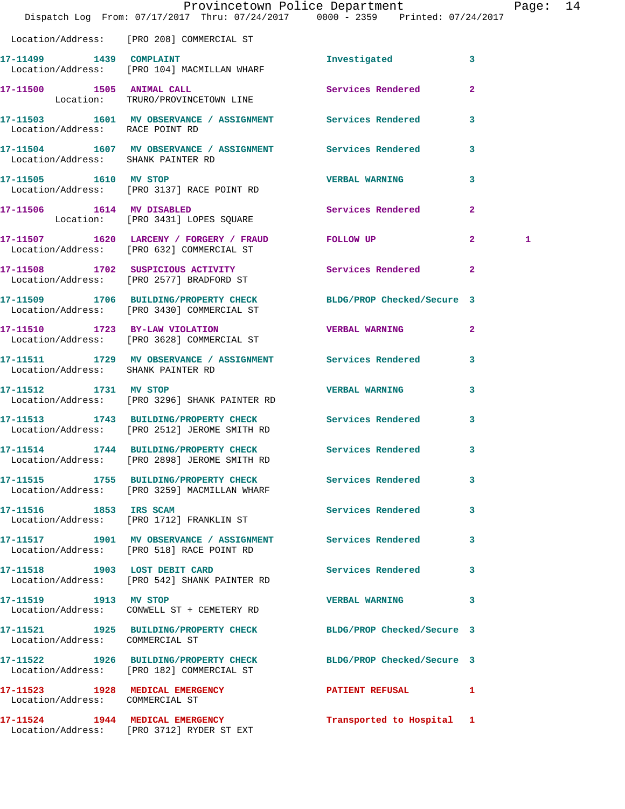|                                    | Provincetown Police Department The Rage: 14<br>Dispatch Log From: 07/17/2017 Thru: 07/24/2017 0000 - 2359 Printed: 07/24/2017 |                           |                         |   |  |
|------------------------------------|-------------------------------------------------------------------------------------------------------------------------------|---------------------------|-------------------------|---|--|
|                                    | Location/Address: [PRO 208] COMMERCIAL ST                                                                                     |                           |                         |   |  |
|                                    | 17-11499 1439 COMPLAINT<br>Location/Address: [PRO 104] MACMILLAN WHARF                                                        | Investigated              | $\overline{\mathbf{3}}$ |   |  |
|                                    | 17-11500 1505 ANIMAL CALL<br>Location: TRURO/PROVINCETOWN LINE                                                                | Services Rendered         | $\mathbf{2}$            |   |  |
| Location/Address: RACE POINT RD    | 17-11503 1601 MV OBSERVANCE / ASSIGNMENT Services Rendered                                                                    |                           | 3                       |   |  |
| Location/Address: SHANK PAINTER RD | 17-11504 1607 MV OBSERVANCE / ASSIGNMENT Services Rendered                                                                    |                           | 3                       |   |  |
|                                    | 17-11505    1610    MV STOP<br>Location/Address: [PRO 3137] RACE POINT RD                                                     | <b>VERBAL WARNING</b>     | 3                       |   |  |
|                                    | 17-11506 1614 MV DISABLED<br>Location: [PRO 3431] LOPES SQUARE                                                                | Services Rendered         | $\mathbf{2}$            |   |  |
|                                    | 17-11507 1620 LARCENY / FORGERY / FRAUD FOLLOW UP<br>Location/Address: [PRO 632] COMMERCIAL ST                                |                           | $\overline{2}$          | 1 |  |
|                                    | 17-11508 1702 SUSPICIOUS ACTIVITY 1991 Services Rendered 2<br>Location/Address: [PRO 2577] BRADFORD ST                        |                           |                         |   |  |
|                                    | 17-11509 1706 BUILDING/PROPERTY CHECK BLDG/PROP Checked/Secure 3<br>Location/Address: [PRO 3430] COMMERCIAL ST                |                           |                         |   |  |
|                                    | 17-11510 1723 BY-LAW VIOLATION<br>Location/Address: [PRO 3628] COMMERCIAL ST                                                  | <b>VERBAL WARNING</b>     | $\mathbf{2}$            |   |  |
| Location/Address: SHANK PAINTER RD | 17-11511 1729 MV OBSERVANCE / ASSIGNMENT Services Rendered 3                                                                  |                           |                         |   |  |
|                                    | 17-11512 1731 MV STOP<br>Location/Address: [PRO 3296] SHANK PAINTER RD                                                        | <b>VERBAL WARNING</b>     | 3                       |   |  |
|                                    | 17-11513 1743 BUILDING/PROPERTY CHECK Services Rendered<br>Location/Address: [PRO 2512] JEROME SMITH RD                       |                           | $\mathbf{3}$            |   |  |
|                                    | 17-11514 1744 BUILDING/PROPERTY CHECK Services Rendered<br>Location/Address: [PRO 2898] JEROME SMITH RD                       |                           | 3                       |   |  |
|                                    | 17-11515 1755 BUILDING/PROPERTY CHECK Services Rendered<br>Location/Address: [PRO 3259] MACMILLAN WHARF                       |                           | 3                       |   |  |
|                                    | 17-11516 1853 IRS SCAM<br>Location/Address: [PRO 1712] FRANKLIN ST                                                            | Services Rendered 3       |                         |   |  |
|                                    | 17-11517 1901 MV OBSERVANCE / ASSIGNMENT Services Rendered 3<br>Location/Address: [PRO 518] RACE POINT RD                     |                           |                         |   |  |
|                                    | 17-11518 1903 LOST DEBIT CARD<br>Location/Address: [PRO 542] SHANK PAINTER RD                                                 | Services Rendered 3       |                         |   |  |
| 17-11519 1913 MV STOP              | Location/Address: CONWELL ST + CEMETERY RD                                                                                    | VERBAL WARNING 3          |                         |   |  |
| Location/Address: COMMERCIAL ST    | 17-11521 1925 BUILDING/PROPERTY CHECK BLDG/PROP Checked/Secure 3                                                              |                           |                         |   |  |
|                                    | 17-11522 1926 BUILDING/PROPERTY CHECK BLDG/PROP Checked/Secure 3<br>Location/Address: [PRO 182] COMMERCIAL ST                 |                           |                         |   |  |
| Location/Address: COMMERCIAL ST    | 17-11523 1928 MEDICAL EMERGENCY 1 PATIENT REFUSAL 1                                                                           |                           |                         |   |  |
|                                    | 17-11524 1944 MEDICAL EMERGENCY<br>Location/Address: [PRO 3712] RYDER ST EXT                                                  | Transported to Hospital 1 |                         |   |  |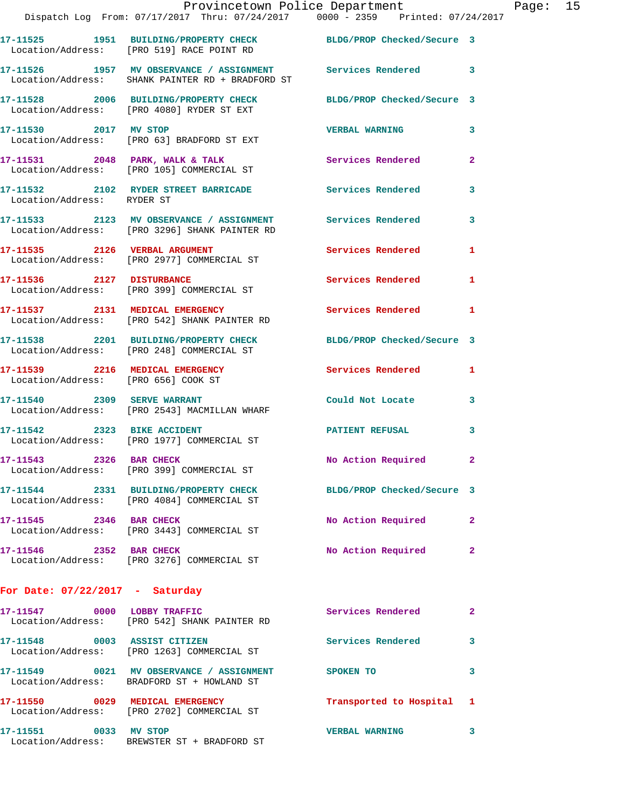|                                     | Provincetown Police Department<br>Dispatch Log From: 07/17/2017 Thru: 07/24/2017 0000 - 2359 Printed: 07/24/2017 |                            |                |
|-------------------------------------|------------------------------------------------------------------------------------------------------------------|----------------------------|----------------|
|                                     |                                                                                                                  |                            |                |
|                                     | 17-11525 1951 BUILDING/PROPERTY CHECK BLDG/PROP Checked/Secure 3<br>Location/Address: [PRO 519] RACE POINT RD    |                            |                |
|                                     | 17-11526 1957 MV OBSERVANCE / ASSIGNMENT Services Rendered<br>Location/Address: SHANK PAINTER RD + BRADFORD ST   |                            | 3              |
|                                     | 17-11528 2006 BUILDING/PROPERTY CHECK BLDG/PROP Checked/Secure 3<br>Location/Address: [PRO 4080] RYDER ST EXT    |                            |                |
| 17-11530 2017 MV STOP               | Location/Address: [PRO 63] BRADFORD ST EXT                                                                       | <b>VERBAL WARNING</b>      | 3              |
|                                     | 17-11531 2048 PARK, WALK & TALK 3 Services Rendered<br>Location/Address: [PRO 105] COMMERCIAL ST                 |                            | $\mathbf{2}$   |
| Location/Address: RYDER ST          | 17-11532 2102 RYDER STREET BARRICADE Services Rendered                                                           |                            | 3              |
|                                     |                                                                                                                  |                            | 3              |
| 17-11535 2126 VERBAL ARGUMENT       | Location/Address: [PRO 2977] COMMERCIAL ST                                                                       | Services Rendered          | 1              |
|                                     | 17-11536 2127 DISTURBANCE<br>Location/Address: [PRO 399] COMMERCIAL ST                                           | <b>Services Rendered</b>   | 1              |
|                                     | 17-11537 2131 MEDICAL EMERGENCY<br>Location/Address: [PRO 542] SHANK PAINTER RD                                  | <b>Services Rendered</b>   | 1              |
|                                     | 17-11538 2201 BUILDING/PROPERTY CHECK<br>Location/Address: [PRO 248] COMMERCIAL ST                               | BLDG/PROP Checked/Secure 3 |                |
| Location/Address: [PRO 656] COOK ST | 17-11539 2216 MEDICAL EMERGENCY Services Rendered                                                                |                            | 1              |
|                                     | 17-11540 2309 SERVE WARRANT<br>Location/Address: [PRO 2543] MACMILLAN WHARF                                      | Could Not Locate           | 3              |
| 17-11542 2323 BIKE ACCIDENT         | Location/Address: [PRO 1977] COMMERCIAL ST                                                                       | <b>PATIENT REFUSAL</b>     | 3              |
| 17-11543 2326 BAR CHECK             | Location/Address: [PRO 399] COMMERCIAL ST                                                                        | No Action Required         | $\mathbf{2}$   |
|                                     | 17-11544 2331 BUILDING/PROPERTY CHECK<br>Location/Address: [PRO 4084] COMMERCIAL ST                              | BLDG/PROP Checked/Secure 3 |                |
| 17-11545 2346 BAR CHECK             | Location/Address: [PRO 3443] COMMERCIAL ST                                                                       | No Action Required         | $\overline{2}$ |
| 17-11546 2352 BAR CHECK             | Location/Address: [PRO 3276] COMMERCIAL ST                                                                       | No Action Required         | 2              |
| For Date: $07/22/2017$ - Saturday   |                                                                                                                  |                            |                |
| 17-11547 0000 LOBBY TRAFFIC         | Location/Address: [PRO 542] SHANK PAINTER RD                                                                     | Services Rendered          | $\mathbf{2}$   |
| 17-11548 0003 ASSIST CITIZEN        | Location/Address: [PRO 1263] COMMERCIAL ST                                                                       | <b>Services Rendered</b>   | 3              |
|                                     | 17-11549 0021 MV OBSERVANCE / ASSIGNMENT<br>Location/Address: BRADFORD ST + HOWLAND ST                           | SPOKEN TO                  | 3              |

**17-11550 0029 MEDICAL EMERGENCY Transported to Hospital 1**  Location/Address: [PRO 2702] COMMERCIAL ST

**17-11551 0033 MV STOP VERBAL WARNING 3**  Location/Address: BREWSTER ST + BRADFORD ST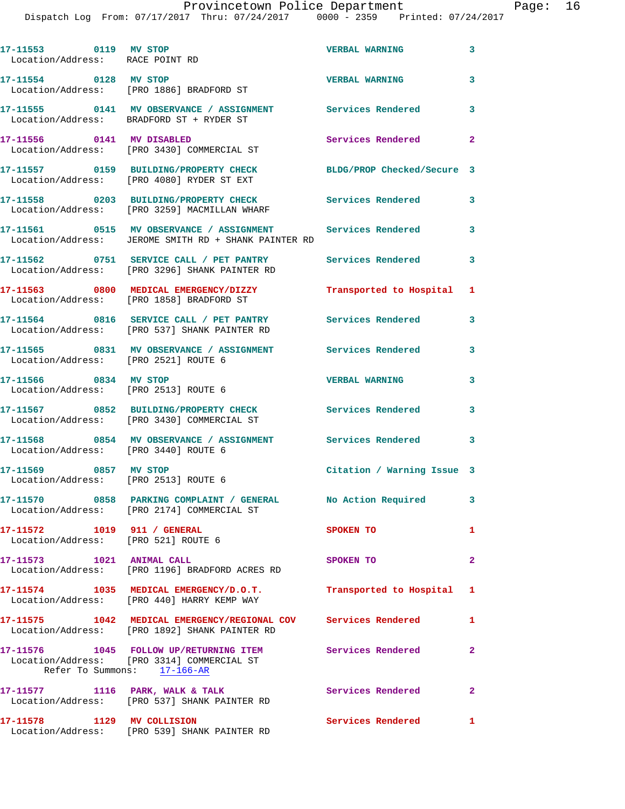Dispatch Log From: 07/17/2017 Thru: 07/24/2017 0000 - 2359 Printed: 07/24/2017

| 17-11553 0119 MV STOP<br>Location/Address: RACE POINT RD           |                                                                                                                    | <b>VERBAL WARNING</b>      | $\mathbf{3}$               |
|--------------------------------------------------------------------|--------------------------------------------------------------------------------------------------------------------|----------------------------|----------------------------|
| 17-11554 0128 MV STOP                                              | Location/Address: [PRO 1886] BRADFORD ST                                                                           | <b>VERBAL WARNING</b>      | 3                          |
|                                                                    | 17-11555 0141 MV OBSERVANCE / ASSIGNMENT Services Rendered 3<br>Location/Address: BRADFORD ST + RYDER ST           |                            |                            |
| 17-11556 0141 MV DISABLED                                          | Location/Address: [PRO 3430] COMMERCIAL ST                                                                         | <b>Services Rendered</b>   | $\mathbf{2}$               |
|                                                                    | 17-11557 0159 BUILDING/PROPERTY CHECK<br>Location/Address: [PRO 4080] RYDER ST EXT                                 | BLDG/PROP Checked/Secure 3 |                            |
|                                                                    | 17-11558 0203 BUILDING/PROPERTY CHECK<br>Location/Address: [PRO 3259] MACMILLAN WHARF                              | <b>Services Rendered</b>   | 3                          |
|                                                                    | 17-11561 0515 MV OBSERVANCE / ASSIGNMENT Services Rendered<br>Location/Address: JEROME SMITH RD + SHANK PAINTER RD |                            | $\overline{\mathbf{3}}$    |
|                                                                    | 17-11562 0751 SERVICE CALL / PET PANTRY<br>Location/Address: [PRO 3296] SHANK PAINTER RD                           | <b>Services Rendered</b>   | $\overline{\phantom{a}}$ 3 |
|                                                                    | 17-11563 0800 MEDICAL EMERGENCY/DIZZY<br>Location/Address: [PRO 1858] BRADFORD ST                                  | Transported to Hospital    | 1                          |
|                                                                    | 17-11564 0816 SERVICE CALL / PET PANTRY Services Rendered<br>Location/Address: [PRO 537] SHANK PAINTER RD          |                            | $\mathbf{3}$               |
| Location/Address: [PRO 2521] ROUTE 6                               | 17-11565 0831 MV OBSERVANCE / ASSIGNMENT Services Rendered                                                         |                            | 3                          |
| 17-11566 0834 MV STOP                                              | Location/Address: [PRO 2513] ROUTE 6                                                                               | <b>VERBAL WARNING</b>      | 3                          |
|                                                                    | 17-11567 0852 BUILDING/PROPERTY CHECK Services Rendered<br>Location/Address: [PRO 3430] COMMERCIAL ST              |                            | 3                          |
| Location/Address: [PRO 3440] ROUTE 6                               | 17-11568 0854 MV OBSERVANCE / ASSIGNMENT Services Rendered 3                                                       |                            |                            |
| 17-11569 0857 MV STOP<br>Location/Address: [PRO 2513] ROUTE 6      |                                                                                                                    | Citation / Warning Issue 3 |                            |
|                                                                    | 17-11570 0858 PARKING COMPLAINT / GENERAL No Action Required<br>Location/Address: [PRO 2174] COMMERCIAL ST         |                            | $\mathbf{3}$               |
| 17-11572 1019 911 / GENERAL<br>Location/Address: [PRO 521] ROUTE 6 |                                                                                                                    | SPOKEN TO                  | 1                          |
| 17-11573 1021 ANIMAL CALL                                          | Location/Address: [PRO 1196] BRADFORD ACRES RD                                                                     | SPOKEN TO                  | $\overline{2}$             |
|                                                                    | 17-11574 1035 MEDICAL EMERGENCY/D.O.T.<br>Location/Address: [PRO 440] HARRY KEMP WAY                               | Transported to Hospital 1  |                            |
|                                                                    | 17-11575 1042 MEDICAL EMERGENCY/REGIONAL COV Services Rendered<br>Location/Address: [PRO 1892] SHANK PAINTER RD    |                            | 1                          |
| Refer To Summons: 17-166-AR                                        | 17-11576 1045 FOLLOW UP/RETURNING ITEM Services Rendered<br>Location/Address: [PRO 3314] COMMERCIAL ST             |                            | $\mathbf{2}$               |
|                                                                    | 17-11577 1116 PARK, WALK & TALK<br>Location/Address: [PRO 537] SHANK PAINTER RD                                    | Services Rendered          | $\mathbf{2}$               |
| 17-11578 1129 MV COLLISION                                         | Location/Address: [PRO 539] SHANK PAINTER RD                                                                       | <b>Services Rendered</b>   | 1                          |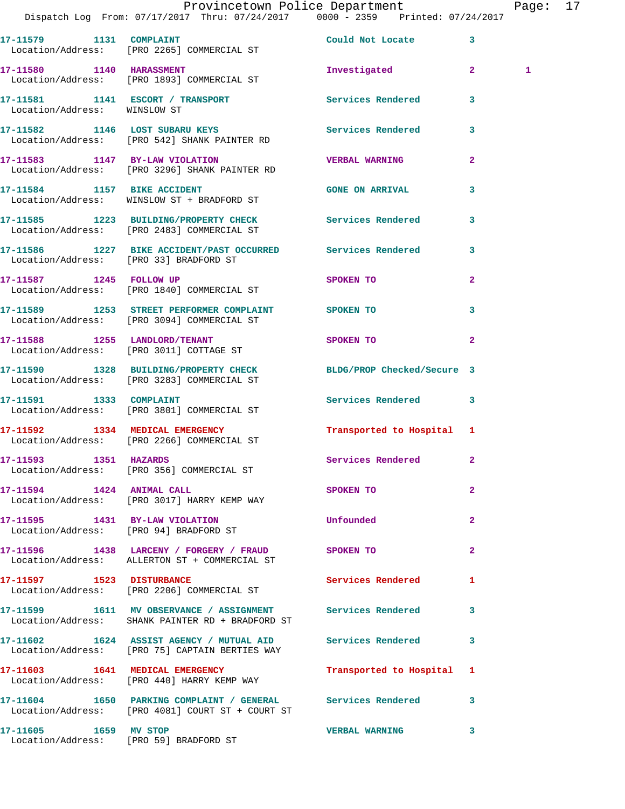|                              | Provincetown Police Department<br>Dispatch Log From: 07/17/2017 Thru: 07/24/2017 0000 - 2359 Printed: 07/24/2017  |                            |                | Page: 17     |  |
|------------------------------|-------------------------------------------------------------------------------------------------------------------|----------------------------|----------------|--------------|--|
|                              | 17-11579 1131 COMPLAINT COMPLETIVE COULD NOt Locate 3<br>Location/Address: [PRO 2265] COMMERCIAL ST               |                            |                |              |  |
|                              | 17-11580 1140 HARASSMENT<br>Location/Address: [PRO 1893] COMMERCIAL ST                                            | Investigated 2             |                | $\mathbf{1}$ |  |
| Location/Address: WINSLOW ST | 17-11581 1141 ESCORT / TRANSPORT 1199 Services Rendered                                                           |                            | 3              |              |  |
|                              | 17-11582 1146 LOST SUBARU KEYS 17-11582 Services Rendered 3<br>Location/Address: [PRO 542] SHANK PAINTER RD       |                            |                |              |  |
|                              | 17-11583 1147 BY-LAW VIOLATION VERBAL WARNING<br>Location/Address: [PRO 3296] SHANK PAINTER RD                    |                            | $\mathbf{2}$   |              |  |
|                              | 17-11584 1157 BIKE ACCIDENT<br>Location/Address: WINSLOW ST + BRADFORD ST                                         | <b>GONE ON ARRIVAL</b>     | 3              |              |  |
|                              | 17-11585 1223 BUILDING/PROPERTY CHECK Services Rendered<br>Location/Address: [PRO 2483] COMMERCIAL ST             |                            | $\mathbf{3}$   |              |  |
|                              | 17-11586 1227 BIKE ACCIDENT/PAST OCCURRED Services Rendered<br>Location/Address: [PRO 33] BRADFORD ST             |                            | 3              |              |  |
|                              | 17-11587 1245 FOLLOW UP<br>Location/Address: [PRO 1840] COMMERCIAL ST                                             | SPOKEN TO                  | $\overline{a}$ |              |  |
|                              | 17-11589 1253 STREET PERFORMER COMPLAINT SPOKEN TO<br>Location/Address: [PRO 3094] COMMERCIAL ST                  |                            | 3              |              |  |
|                              | 17-11588 1255 LANDLORD/TENANT<br>Location/Address: [PRO 3011] COTTAGE ST                                          | <b>SPOKEN TO</b>           | $\mathbf{2}$   |              |  |
|                              | 17-11590 1328 BUILDING/PROPERTY CHECK BLDG/PROP Checked/Secure 3<br>Location/Address: [PRO 3283] COMMERCIAL ST    |                            |                |              |  |
|                              | 17-11591 1333 COMPLAINT<br>Location/Address: [PRO 3801] COMMERCIAL ST                                             | Services Rendered 3        |                |              |  |
|                              | 17-11592 1334 MEDICAL EMERGENCY<br>Location/Address: [PRO 2266] COMMERCIAL ST                                     | Transported to Hospital 1  |                |              |  |
| 17-11593 1351 HAZARDS        | Location/Address: [PRO 356] COMMERCIAL ST                                                                         | Services Rendered          | $\mathbf{2}$   |              |  |
| 17-11594 1424 ANIMAL CALL    | Location/Address: [PRO 3017] HARRY KEMP WAY                                                                       | <b>SPOKEN TO</b>           | $\overline{2}$ |              |  |
|                              | 17-11595 1431 BY-LAW VIOLATION<br>Location/Address: [PRO 94] BRADFORD ST                                          | Unfounded                  | $\mathbf{2}$   |              |  |
|                              | 17-11596 1438 LARCENY / FORGERY / FRAUD SPOKEN TO<br>Location/Address: ALLERTON ST + COMMERCIAL ST                |                            | $\mathbf{2}$   |              |  |
|                              | 17-11597 1523 DISTURBANCE<br>Location/Address: [PRO 2206] COMMERCIAL ST                                           | <b>Services Rendered</b> 1 |                |              |  |
|                              | 17-11599 1611 MV OBSERVANCE / ASSIGNMENT Services Rendered<br>Location/Address: SHANK PAINTER RD + BRADFORD ST    |                            | 3              |              |  |
|                              | 17-11602 1624 ASSIST AGENCY / MUTUAL AID Services Rendered 3<br>Location/Address: [PRO 75] CAPTAIN BERTIES WAY    |                            |                |              |  |
|                              | 17-11603 1641 MEDICAL EMERGENCY<br>Location/Address: [PRO 440] HARRY KEMP WAY                                     | Transported to Hospital 1  |                |              |  |
|                              | 17-11604 1650 PARKING COMPLAINT / GENERAL Services Rendered 3<br>Location/Address: [PRO 4081] COURT ST + COURT ST |                            |                |              |  |
|                              |                                                                                                                   | <b>VERBAL WARNING</b>      | 3              |              |  |

Location/Address: [PRO 59] BRADFORD ST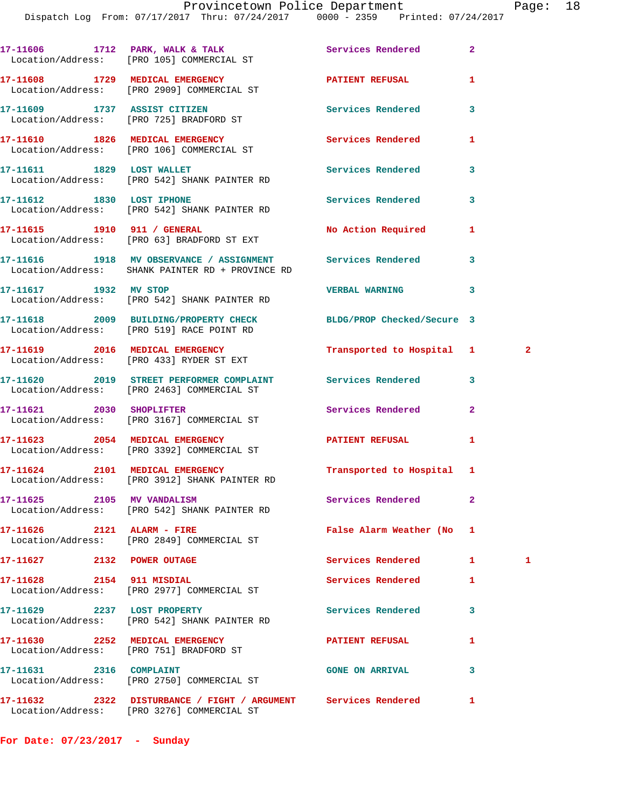|                                 | 17-11606 1712 PARK, WALK & TALK Services Rendered<br>Location/Address: [PRO 105] COMMERCIAL ST                 |                             | $\overline{a}$ |   |
|---------------------------------|----------------------------------------------------------------------------------------------------------------|-----------------------------|----------------|---|
|                                 | 17-11608 1729 MEDICAL EMERGENCY<br>Location/Address: [PRO 2909] COMMERCIAL ST                                  | <b>PATIENT REFUSAL</b>      | 1              |   |
|                                 | 17-11609 1737 ASSIST CITIZEN<br>Location/Address: [PRO 725] BRADFORD ST                                        | Services Rendered           | 3              |   |
|                                 | 17-11610 1826 MEDICAL EMERGENCY<br>Location/Address: [PRO 106] COMMERCIAL ST                                   | Services Rendered           | 1              |   |
|                                 | 17-11611 1829 LOST WALLET<br>Location/Address: [PRO 542] SHANK PAINTER RD                                      | <b>Services Rendered</b>    | 3              |   |
|                                 | 17-11612 1830 LOST IPHONE<br>Location/Address: [PRO 542] SHANK PAINTER RD                                      | Services Rendered           | 3              |   |
|                                 | Location/Address: [PRO 63] BRADFORD ST EXT                                                                     | No Action Required          | 1              |   |
|                                 | 17-11616 1918 MV OBSERVANCE / ASSIGNMENT Services Rendered<br>Location/Address: SHANK PAINTER RD + PROVINCE RD |                             | 3              |   |
|                                 | 17-11617 1932 MV STOP<br>Location/Address: [PRO 542] SHANK PAINTER RD                                          | <b>VERBAL WARNING</b>       | 3              |   |
|                                 | 17-11618 2009 BUILDING/PROPERTY CHECK BLDG/PROP Checked/Secure 3<br>Location/Address: [PRO 519] RACE POINT RD  |                             |                |   |
|                                 | 17-11619 2016 MEDICAL EMERGENCY<br>Location/Address: [PRO 433] RYDER ST EXT                                    | Transported to Hospital 1 2 |                |   |
|                                 | 17-11620 2019 STREET PERFORMER COMPLAINT Services Rendered<br>Location/Address: [PRO 2463] COMMERCIAL ST       |                             | 3              |   |
|                                 | 17-11621 2030 SHOPLIFTER<br>Location/Address: [PRO 3167] COMMERCIAL ST                                         | Services Rendered           | $\overline{2}$ |   |
|                                 | 17-11623 2054 MEDICAL EMERGENCY<br>Location/Address: [PRO 3392] COMMERCIAL ST                                  | PATIENT REFUSAL             | 1              |   |
|                                 | 17-11624 2101 MEDICAL EMERGENCY<br>Location/Address: [PRO 3912] SHANK PAINTER RD                               | Transported to Hospital 1   |                |   |
| 17-11625 2105 MV VANDALISM      | Location/Address: [PRO 542] SHANK PAINTER RD                                                                   | Services Rendered           | $\mathbf{2}$   |   |
| 17-11626 2121 ALARM - FIRE      | Location/Address: [PRO 2849] COMMERCIAL ST                                                                     | False Alarm Weather (No     | 1              |   |
| 17-11627 2132 POWER OUTAGE      |                                                                                                                | <b>Services Rendered</b>    | 1              | 1 |
| 17-11628 2154 911 MISDIAL       | Location/Address: [PRO 2977] COMMERCIAL ST                                                                     | Services Rendered           | 1              |   |
| 17-11629 2237 LOST PROPERTY     | Location/Address: [PRO 542] SHANK PAINTER RD                                                                   | Services Rendered           | 3              |   |
| 17-11630 2252 MEDICAL EMERGENCY | Location/Address: [PRO 751] BRADFORD ST                                                                        | <b>PATIENT REFUSAL</b>      | 1              |   |
| 17-11631 2316 COMPLAINT         | Location/Address: [PRO 2750] COMMERCIAL ST                                                                     | <b>GONE ON ARRIVAL</b>      | 3              |   |
|                                 |                                                                                                                |                             | 1              |   |

Location/Address: [PRO 3276] COMMERCIAL ST

**For Date: 07/23/2017 - Sunday**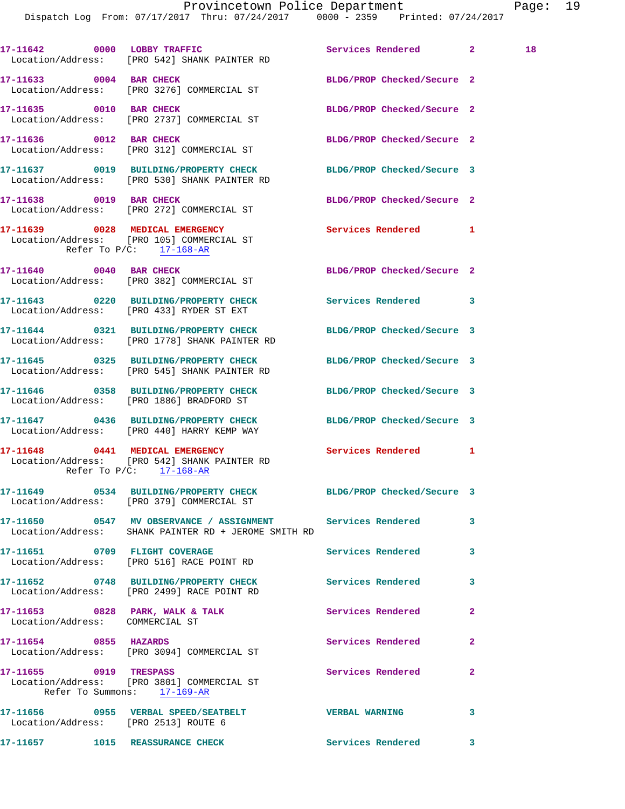Dispatch Log From: 07/17/2017 Thru: 07/24/2017 0000 - 2359 Printed: 07/24/2017

17-11642 0000 LOBBY TRAFFIC Services Rendered 2 18 Location/Address: [PRO 542] SHANK PAINTER RD **17-11633 0004 BAR CHECK BLDG/PROP Checked/Secure 2**  Location/Address: [PRO 3276] COMMERCIAL ST **17-11635 0010 BAR CHECK BLDG/PROP Checked/Secure 2**  Location/Address: [PRO 2737] COMMERCIAL ST **17-11636 0012 BAR CHECK BLDG/PROP Checked/Secure 2**  Location/Address: [PRO 312] COMMERCIAL ST **17-11637 0019 BUILDING/PROPERTY CHECK BLDG/PROP Checked/Secure 3**  Location/Address: [PRO 530] SHANK PAINTER RD **17-11638 0019 BAR CHECK BLDG/PROP Checked/Secure 2**  Location/Address: [PRO 272] COMMERCIAL ST **17-11639 0028 MEDICAL EMERGENCY Services Rendered 1**  Location/Address: [PRO 105] COMMERCIAL ST Refer To P/C: 17-168-AR **17-11640 0040 BAR CHECK BLDG/PROP Checked/Secure 2**  Location/Address: [PRO 382] COMMERCIAL ST **17-11643 0220 BUILDING/PROPERTY CHECK Services Rendered 3**  Location/Address: [PRO 433] RYDER ST EXT **17-11644 0321 BUILDING/PROPERTY CHECK BLDG/PROP Checked/Secure 3**  Location/Address: [PRO 1778] SHANK PAINTER RD **17-11645 0325 BUILDING/PROPERTY CHECK BLDG/PROP Checked/Secure 3**  Location/Address: [PRO 545] SHANK PAINTER RD **17-11646 0358 BUILDING/PROPERTY CHECK BLDG/PROP Checked/Secure 3**  Location/Address: [PRO 1886] BRADFORD ST **17-11647 0436 BUILDING/PROPERTY CHECK BLDG/PROP Checked/Secure 3**  Location/Address: [PRO 440] HARRY KEMP WAY **17-11648 0441 MEDICAL EMERGENCY Services Rendered 1**  Location/Address: [PRO 542] SHANK PAINTER RD Refer To P/C: 17-168-AR **17-11649 0534 BUILDING/PROPERTY CHECK BLDG/PROP Checked/Secure 3**  Location/Address: [PRO 379] COMMERCIAL ST **17-11650 0547 MV OBSERVANCE / ASSIGNMENT Services Rendered 3**  Location/Address: SHANK PAINTER RD + JEROME SMITH RD **17-11651 0709 FLIGHT COVERAGE Services Rendered 3**  Location/Address: [PRO 516] RACE POINT RD **17-11652 0748 BUILDING/PROPERTY CHECK Services Rendered 3**  Location/Address: [PRO 2499] RACE POINT RD **17-11653 0828 PARK, WALK & TALK Services Rendered 2**  Location/Address: COMMERCIAL ST **17-11654 0855 HAZARDS Services Rendered 2**  Location/Address: [PRO 3094] COMMERCIAL ST **17-11655 0919 TRESPASS Services Rendered 2**  Location/Address: [PRO 3801] COMMERCIAL ST Refer To Summons: 17-169-AR **17-11656 0955 VERBAL SPEED/SEATBELT VERBAL WARNING 3**  Location/Address: [PRO 2513] ROUTE 6

**17-11657 1015 REASSURANCE CHECK Services Rendered 3**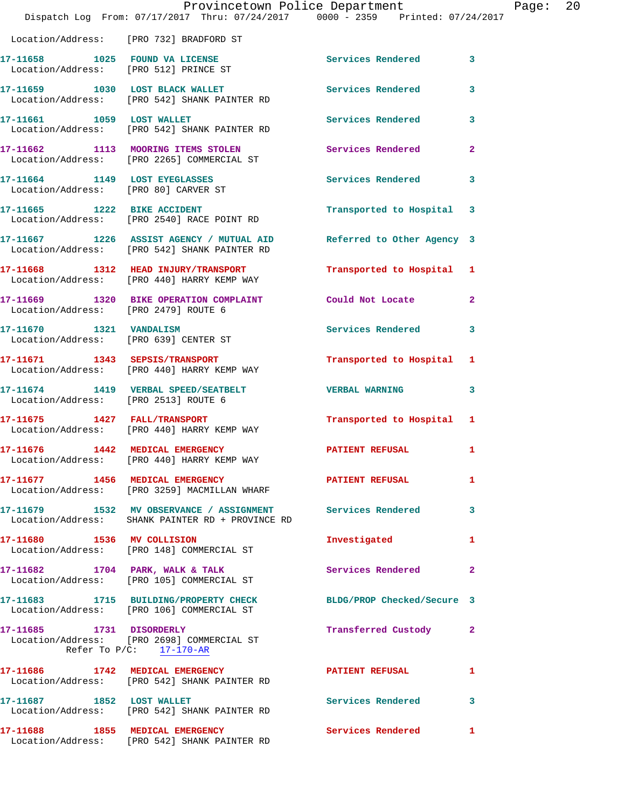|                                                                                    |                           | Provincetown Police Department                                                                                 | Dispatch Log From: 07/17/2017 Thru: 07/24/2017 0000 - 2359 Printed: 07/24/2017 |                |
|------------------------------------------------------------------------------------|---------------------------|----------------------------------------------------------------------------------------------------------------|--------------------------------------------------------------------------------|----------------|
| Location/Address: [PRO 732] BRADFORD ST                                            |                           |                                                                                                                |                                                                                |                |
| 17-11658 1025 FOUND VA LICENSE<br>Location/Address: [PRO 512] PRINCE ST            |                           |                                                                                                                | Services Rendered                                                              | 3              |
| 17-11659 1030 LOST BLACK WALLET<br>Location/Address: [PRO 542] SHANK PAINTER RD    |                           |                                                                                                                | <b>Services Rendered</b>                                                       | 3              |
| 17-11661 1059 LOST WALLET<br>Location/Address: [PRO 542] SHANK PAINTER RD          |                           |                                                                                                                | <b>Services Rendered</b>                                                       | 3              |
| 17-11662 1113 MOORING ITEMS STOLEN<br>Location/Address: [PRO 2265] COMMERCIAL ST   |                           |                                                                                                                | Services Rendered                                                              | $\overline{a}$ |
| 17-11664 1149 LOST EYEGLASSES<br>Location/Address: [PRO 80] CARVER ST              |                           |                                                                                                                | <b>Services Rendered</b>                                                       | 3              |
| 17-11665 1222 BIKE ACCIDENT<br>Location/Address: [PRO 2540] RACE POINT RD          |                           |                                                                                                                | Transported to Hospital                                                        | 3              |
| Location/Address: [PRO 542] SHANK PAINTER RD                                       |                           | 17-11667 1226 ASSIST AGENCY / MUTUAL AID                                                                       | Referred to Other Agency 3                                                     |                |
| 17-11668 1312 HEAD INJURY/TRANSPORT<br>Location/Address: [PRO 440] HARRY KEMP WAY  |                           |                                                                                                                | Transported to Hospital                                                        | 1              |
| 17-11669 1320 BIKE OPERATION COMPLAINT<br>Location/Address: [PRO 2479] ROUTE 6     |                           |                                                                                                                | Could Not Locate                                                               | $\mathbf{2}$   |
| 17-11670    1321    VANDALISM<br>Location/Address: [PRO 639] CENTER ST             |                           |                                                                                                                | Services Rendered                                                              | 3              |
| 17-11671 1343 SEPSIS/TRANSPORT<br>Location/Address: [PRO 440] HARRY KEMP WAY       |                           |                                                                                                                | Transported to Hospital                                                        | 1              |
| 17-11674 1419 VERBAL SPEED/SEATBELT<br>Location/Address: [PRO 2513] ROUTE 6        |                           |                                                                                                                | <b>VERBAL WARNING</b>                                                          | 3              |
| 17-11675    1427    FALL/TRANSPORT<br>Location/Address: [PRO 440] HARRY KEMP WAY   |                           |                                                                                                                | Transported to Hospital 1                                                      |                |
| 17-11676 1442 MEDICAL EMERGENCY<br>Location/Address: [PRO 440] HARRY KEMP WAY      |                           |                                                                                                                | <b>PATIENT REFUSAL</b>                                                         |                |
| 17-11677 1456 MEDICAL EMERGENCY                                                    |                           | Location/Address: [PRO 3259] MACMILLAN WHARF                                                                   | <b>PATIENT REFUSAL</b>                                                         | 1              |
|                                                                                    |                           | 17-11679 1532 MV OBSERVANCE / ASSIGNMENT Services Rendered<br>Location/Address: SHANK PAINTER RD + PROVINCE RD |                                                                                | 3              |
| 17-11680 1536 MV COLLISION<br>Location/Address: [PRO 148] COMMERCIAL ST            |                           |                                                                                                                | Investigated                                                                   | 1              |
| 17-11682 1704 PARK, WALK & TALK<br>Location/Address: [PRO 105] COMMERCIAL ST       |                           |                                                                                                                | Services Rendered                                                              | $\mathbf{2}$   |
| 17-11683 1715 BUILDING/PROPERTY CHECK<br>Location/Address: [PRO 106] COMMERCIAL ST |                           |                                                                                                                | BLDG/PROP Checked/Secure 3                                                     |                |
| 17-11685    1731    DISORDERLY<br>Location/Address: [PRO 2698] COMMERCIAL ST       | Refer To $P/C:$ 17-170-AR |                                                                                                                | Transferred Custody                                                            | 2              |
| 17-11686 1742 MEDICAL EMERGENCY<br>Location/Address: [PRO 542] SHANK PAINTER RD    |                           |                                                                                                                | PATIENT REFUSAL                                                                | 1              |
| 17-11687 1852 LOST WALLET<br>Location/Address: [PRO 542] SHANK PAINTER RD          |                           |                                                                                                                | <b>Services Rendered</b>                                                       | 3              |
| 17-11688 1855 MEDICAL EMERGENCY                                                    |                           |                                                                                                                | Services Rendered                                                              | $\mathbf{1}$   |

Location/Address: [PRO 542] SHANK PAINTER RD

Page: 20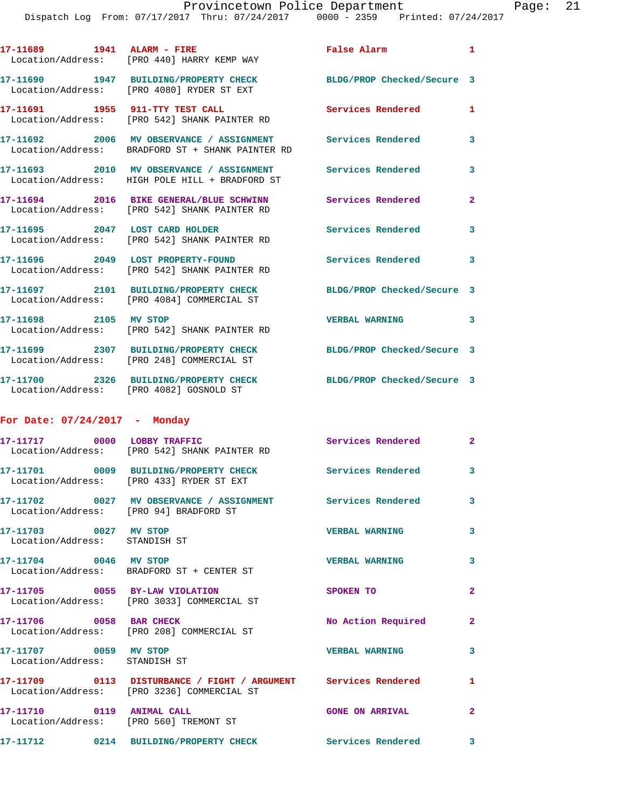|                                                        | Dispatch Log From: 07/17/2017 Thru: 07/24/2017 0000 - 2359 Printed: 07/24/2017                                 |                            |                |
|--------------------------------------------------------|----------------------------------------------------------------------------------------------------------------|----------------------------|----------------|
|                                                        | Location/Address: [PRO 440] HARRY KEMP WAY                                                                     | False Alarm                | 1              |
|                                                        | 17-11690 1947 BUILDING/PROPERTY CHECK<br>Location/Address: [PRO 4080] RYDER ST EXT                             | BLDG/PROP Checked/Secure 3 |                |
|                                                        | 17-11691 1955 911-TTY TEST CALL<br>Location/Address: [PRO 542] SHANK PAINTER RD                                | Services Rendered          | 1              |
|                                                        | 17-11692 2006 MV OBSERVANCE / ASSIGNMENT Services Rendered<br>Location/Address: BRADFORD ST + SHANK PAINTER RD |                            | 3              |
|                                                        | 17-11693 2010 MV OBSERVANCE / ASSIGNMENT Services Rendered<br>Location/Address: HIGH POLE HILL + BRADFORD ST   |                            | 3              |
|                                                        | 17-11694 2016 BIKE GENERAL/BLUE SCHWINN<br>Location/Address: [PRO 542] SHANK PAINTER RD                        | <b>Services Rendered</b>   | $\mathbf{2}$   |
|                                                        | 17-11695 2047 LOST CARD HOLDER<br>Location/Address: [PRO 542] SHANK PAINTER RD                                 | Services Rendered          | 3              |
|                                                        | 17-11696 2049 LOST PROPERTY-FOUND<br>Location/Address: [PRO 542] SHANK PAINTER RD                              | <b>Services Rendered</b>   | 3              |
|                                                        | 17-11697 2101 BUILDING/PROPERTY CHECK<br>Location/Address: [PRO 4084] COMMERCIAL ST                            | BLDG/PROP Checked/Secure 3 |                |
| 17-11698 2105 MV STOP                                  | Location/Address: [PRO 542] SHANK PAINTER RD                                                                   | <b>VERBAL WARNING</b>      | 3              |
|                                                        | 17-11699 2307 BUILDING/PROPERTY CHECK<br>Location/Address: [PRO 248] COMMERCIAL ST                             | BLDG/PROP Checked/Secure 3 |                |
|                                                        | 17-11700 2326 BUILDING/PROPERTY CHECK<br>Location/Address: [PRO 4082] GOSNOLD ST                               | BLDG/PROP Checked/Secure 3 |                |
| For Date: $07/24/2017$ - Monday                        |                                                                                                                |                            |                |
|                                                        | 17-11717 0000 LOBBY TRAFFIC<br>Location/Address: [PRO 542] SHANK PAINTER RD                                    | <b>Services Rendered</b>   | $\overline{2}$ |
|                                                        | Location/Address: [PRO 433] RYDER ST EXT                                                                       | Services Rendered          |                |
|                                                        | 17-11702 0027 MV OBSERVANCE / ASSIGNMENT Services Rendered<br>Location/Address: [PRO 94] BRADFORD ST           |                            | 3              |
| 17-11703 0027 MV STOP<br>Location/Address: STANDISH ST |                                                                                                                | <b>VERBAL WARNING</b>      | 3              |
| 17-11704 0046 MV STOP                                  | Location/Address: BRADFORD ST + CENTER ST                                                                      | <b>VERBAL WARNING</b>      | 3              |
|                                                        | 17-11705 0055 BY-LAW VIOLATION<br>Location/Address: [PRO 3033] COMMERCIAL ST                                   | SPOKEN TO                  | $\mathbf{2}$   |
|                                                        | 17-11706 0058 BAR CHECK<br>Location/Address: [PRO 208] COMMERCIAL ST                                           | No Action Required         | $\overline{2}$ |
| 17-11707 0059 MV STOP<br>Location/Address: STANDISH ST |                                                                                                                | <b>VERBAL WARNING</b>      | 3              |
|                                                        | 17-11709 0113 DISTURBANCE / FIGHT / ARGUMENT Services Rendered<br>Location/Address: [PRO 3236] COMMERCIAL ST   |                            | 1              |
|                                                        | 17-11710 0119 ANIMAL CALL<br>Location/Address: [PRO 560] TREMONT ST                                            | <b>GONE ON ARRIVAL</b>     | 2              |
|                                                        | 17-11712 0214 BUILDING/PROPERTY CHECK Services Rendered                                                        |                            | 3              |